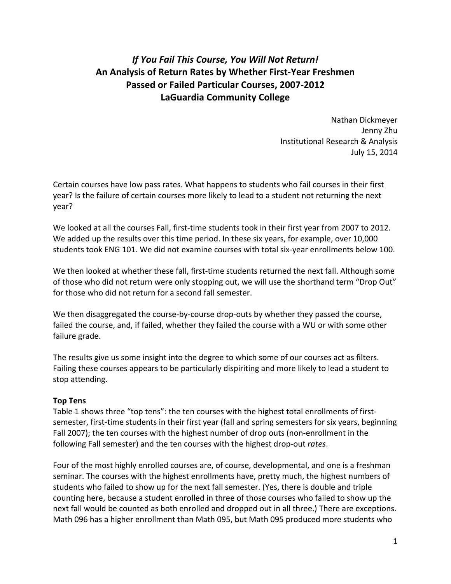# *If You Fail This Course, You Will Not Return!*  **An Analysis of Return Rates by Whether First‐Year Freshmen Passed or Failed Particular Courses, 2007‐2012 LaGuardia Community College**

 Nathan Dickmeyer Jenny Zhu Institutional Research & Analysis July 15, 2014

 Certain courses have low pass rates. What happens to students who fail courses in their first year? Is the failure of certain courses more likely to lead to a student not returning the next year?

 We looked at all the courses Fall, first‐time students took in their first year from 2007 to 2012. We added up the results over this time period. In these six years, for example, over 10,000 students took ENG 101. We did not examine courses with total six‐year enrollments below 100.

We then looked at whether these fall, first-time students returned the next fall. Although some of those who did not return were only stopping out, we will use the shorthand term "Drop Out" for those who did not return for a second fall semester.

We then disaggregated the course-by-course drop-outs by whether they passed the course, failed the course, and, if failed, whether they failed the course with a WU or with some other failure grade.

 The results give us some insight into the degree to which some of our courses act as filters. Failing these courses appears to be particularly dispiriting and more likely to lead a student to stop attending.

### **Top Tens**

 Table 1 shows three "top tens": the ten courses with the highest total enrollments of first‐ semester, first‐time students in their first year (fall and spring semesters for six years, beginning Fall 2007); the ten courses with the highest number of drop outs (non-enrollment in the following Fall semester) and the ten courses with the highest drop‐out *rates*.

 Four of the most highly enrolled courses are, of course, developmental, and one is a freshman seminar. The courses with the highest enrollments have, pretty much, the highest numbers of students who failed to show up for the next fall semester. (Yes, there is double and triple counting here, because a student enrolled in three of those courses who failed to show up the next fall would be counted as both enrolled and dropped out in all three.) There are exceptions. Math 096 has a higher enrollment than Math 095, but Math 095 produced more students who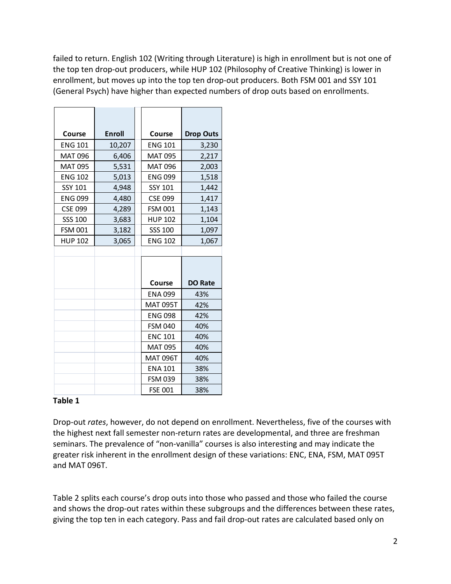failed to return. English 102 (Writing through Literature) is high in enrollment but is not one of the top ten drop‐out producers, while HUP 102 (Philosophy of Creative Thinking) is lower in enrollment, but moves up into the top ten drop‐out producers. Both FSM 001 and SSY 101 (General Psych) have higher than expected numbers of drop outs based on enrollments.

| Course         | <b>Enroll</b> | Course          | <b>Drop Outs</b> |  |  |  |  |
|----------------|---------------|-----------------|------------------|--|--|--|--|
| <b>ENG 101</b> | 10,207        | <b>ENG 101</b>  | 3,230            |  |  |  |  |
| <b>MAT 096</b> | 6,406         | <b>MAT 095</b>  | 2,217            |  |  |  |  |
| <b>MAT 095</b> | 5,531         | <b>MAT 096</b>  | 2,003            |  |  |  |  |
| <b>ENG 102</b> | 5,013         | <b>ENG 099</b>  | 1,518            |  |  |  |  |
| SSY 101        | 4,948         | SSY 101         | 1,442            |  |  |  |  |
| <b>ENG 099</b> | 4,480         | <b>CSE 099</b>  | 1,417            |  |  |  |  |
| <b>CSE 099</b> | 4,289         | <b>FSM 001</b>  | 1,143            |  |  |  |  |
| SSS 100        | 3,683         | <b>HUP 102</b>  | 1,104            |  |  |  |  |
| <b>FSM 001</b> | 3,182         | SSS 100         | 1,097            |  |  |  |  |
| <b>HUP 102</b> | 3,065         | <b>ENG 102</b>  | 1,067            |  |  |  |  |
|                |               |                 |                  |  |  |  |  |
|                |               |                 |                  |  |  |  |  |
|                |               |                 |                  |  |  |  |  |
|                |               | Course          | <b>DO Rate</b>   |  |  |  |  |
|                |               | <b>ENA 099</b>  | 43%              |  |  |  |  |
|                |               | <b>MAT 095T</b> | 42%              |  |  |  |  |
|                |               | <b>ENG 098</b>  | 42%              |  |  |  |  |
|                |               | <b>FSM 040</b>  | 40%              |  |  |  |  |
|                |               | <b>ENC 101</b>  | 40%              |  |  |  |  |
|                |               | <b>MAT 095</b>  | 40%              |  |  |  |  |
|                |               | <b>MAT 096T</b> | 40%              |  |  |  |  |
|                |               | <b>ENA 101</b>  | 38%              |  |  |  |  |
|                |               |                 |                  |  |  |  |  |
|                |               | <b>FSM 039</b>  | 38%              |  |  |  |  |

# **Table 1**

 Drop‐out *rates*, however, do not depend on enrollment. Nevertheless, five of the courses with the highest next fall semester non‐return rates are developmental, and three are freshman seminars. The prevalence of "non‐vanilla" courses is also interesting and may indicate the greater risk inherent in the enrollment design of these variations: ENC, ENA, FSM, MAT 095T and MAT 096T.

 Table 2 splits each course's drop outs into those who passed and those who failed the course and shows the drop‐out rates within these subgroups and the differences between these rates, giving the top ten in each category. Pass and fail drop‐out rates are calculated based only on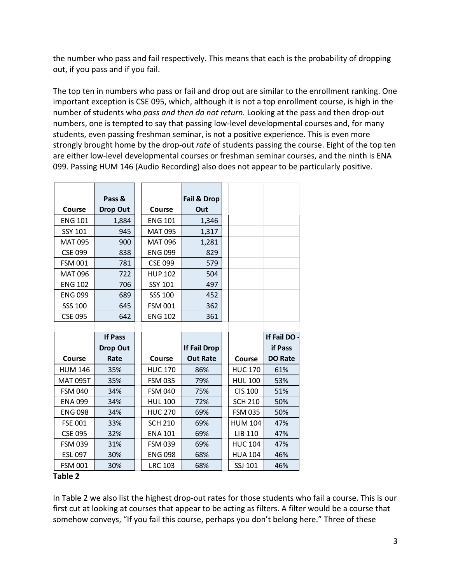the number who pass and fail respectively. This means that each is the probability of dropping out, if you pass and if you fail.

 The top ten in numbers who pass or fail and drop out are similar to the enrollment ranking. One important exception is CSE 095, which, although it is not a top enrollment course, is high in the  number of students who *pass and then do not return.* Looking at the pass and then drop‐out numbers, one is tempted to say that passing low‐level developmental courses and, for many students, even passing freshman seminar, is not a positive experience. This is even more strongly brought home by the drop‐out *rate* of students passing the course. Eight of the top ten are either low‐level developmental courses or freshman seminar courses, and the ninth is ENA 099. Passing HUM 146 (Audio Recording) also does not appear to be particularly positive.

|                 | Pass &          |                | Fail & Drop         |                |                |
|-----------------|-----------------|----------------|---------------------|----------------|----------------|
| Course          | <b>Drop Out</b> | Course         | Out                 |                |                |
| <b>ENG 101</b>  | 1,884           | <b>ENG 101</b> | 1,346               |                |                |
| <b>SSY 101</b>  | 945             | <b>MAT 095</b> | 1,317               |                |                |
| <b>MAT 095</b>  | 900             | <b>MAT 096</b> | 1,281               |                |                |
| <b>CSE 099</b>  | 838             | <b>ENG 099</b> | 829                 |                |                |
| <b>FSM 001</b>  | 781             | <b>CSE 099</b> | 579                 |                |                |
| <b>MAT 096</b>  | 722             | <b>HUP 102</b> | 504                 |                |                |
| <b>ENG 102</b>  | 706             | SSY 101        | 497                 |                |                |
| <b>ENG 099</b>  | 689             | <b>SSS 100</b> | 452                 |                |                |
| <b>SSS 100</b>  | 645             | <b>FSM 001</b> | 362                 |                |                |
| <b>CSE 095</b>  | 642             | <b>ENG 102</b> | 361                 |                |                |
|                 |                 |                |                     |                |                |
|                 | <b>If Pass</b>  |                |                     |                | If Fail DO     |
|                 | <b>Drop Out</b> |                | <b>If Fail Drop</b> |                | if Pass        |
| Course          | Rate            | Course         | <b>Out Rate</b>     | Course         | <b>DO Rate</b> |
| <b>HUM 146</b>  | 35%             | <b>HUC 170</b> | 86%                 | <b>HUC 170</b> | 61%            |
| <b>MAT 095T</b> | 35%             | <b>FSM 035</b> | 79%                 | <b>HUL 100</b> | 53%            |
| <b>FSM 040</b>  | 34%             | <b>FSM 040</b> | 75%                 | <b>CIS 100</b> | 51%            |
| <b>ENA 099</b>  | 34%             | <b>HUL 100</b> | 72%                 | <b>SCH 210</b> | 50%            |
|                 |                 |                |                     |                |                |
| <b>ENG 098</b>  | 34%             | <b>HUC 270</b> | 69%                 | <b>FSM 035</b> | 50%            |
| <b>FSE 001</b>  | 33%             | <b>SCH 210</b> | 69%                 | <b>HUM 104</b> | 47%            |
| <b>CSE 095</b>  | 32%             | <b>ENA 101</b> | 69%                 | LIB 110        | 47%            |
| <b>FSM 039</b>  | 31%             | <b>FSM 039</b> | 69%                 | <b>HUC 104</b> | 47%            |
| ESL 097         | 30%             | <b>ENG 098</b> | 68%                 | <b>HUA 104</b> | 46%            |
| <b>FSM 001</b>  | 30%             | <b>LRC 103</b> | 68%                 | SSJ 101        | 46%            |

### **Table 2**

 In Table 2 we also list the highest drop‐out rates for those students who fail a course. This is our first cut at looking at courses that appear to be acting as filters. A filter would be a course that somehow conveys, "If you fail this course, perhaps you don't belong here." Three of these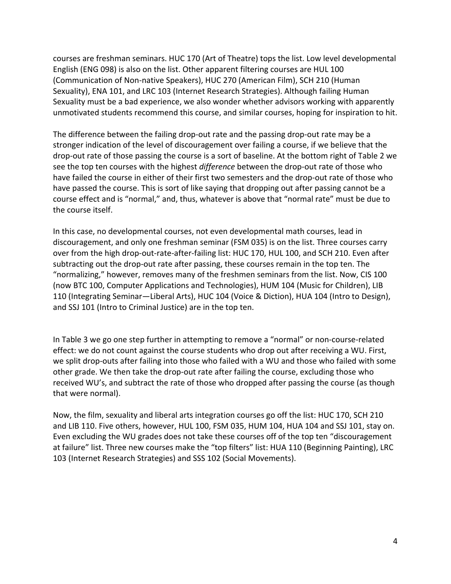courses are freshman seminars. HUC 170 (Art of Theatre) tops the list. Low level developmental English (ENG 098) is also on the list. Other apparent filtering courses are HUL 100 (Communication of Non‐native Speakers), HUC 270 (American Film), SCH 210 (Human Sexuality), ENA 101, and LRC 103 (Internet Research Strategies). Although failing Human Sexuality must be a bad experience, we also wonder whether advisors working with apparently unmotivated students recommend this course, and similar courses, hoping for inspiration to hit.

 The difference between the failing drop‐out rate and the passing drop‐out rate may be a stronger indication of the level of discouragement over failing a course, if we believe that the drop-out rate of those passing the course is a sort of baseline. At the bottom right of Table 2 we see the top ten courses with the highest *difference* between the drop‐out rate of those who have failed the course in either of their first two semesters and the drop‐out rate of those who course effect and is "normal," and, thus, whatever is above that "normal rate" must be due to the course itself. have passed the course. This is sort of like saying that dropping out after passing cannot be a

 In this case, no developmental courses, not even developmental math courses, lead in discouragement, and only one freshman seminar (FSM 035) is on the list. Three courses carry over from the high drop‐out‐rate‐after‐failing list: HUC 170, HUL 100, and SCH 210. Even after subtracting out the drop‐out rate after passing, these courses remain in the top ten. The "normalizing," however, removes many of the freshmen seminars from the list. Now, CIS 100 (now BTC 100, Computer Applications and Technologies), HUM 104 (Music for Children), LIB 110 (Integrating Seminar—Liberal Arts), HUC 104 (Voice & Diction), HUA 104 (Intro to Design), and SSJ 101 (Intro to Criminal Justice) are in the top ten.

 In Table 3 we go one step further in attempting to remove a "normal" or non‐course‐related effect: we do not count against the course students who drop out after receiving a WU. First, we split drop‐outs after failing into those who failed with a WU and those who failed with some other grade. We then take the drop‐out rate after failing the course, excluding those who received WU's, and subtract the rate of those who dropped after passing the course (as though that were normal).

 Now, the film, sexuality and liberal arts integration courses go off the list: HUC 170, SCH 210 and LIB 110. Five others, however, HUL 100, FSM 035, HUM 104, HUA 104 and SSJ 101, stay on. Even excluding the WU grades does not take these courses off of the top ten "discouragement at failure" list. Three new courses make the "top filters" list: HUA 110 (Beginning Painting), LRC 103 (Internet Research Strategies) and SSS 102 (Social Movements).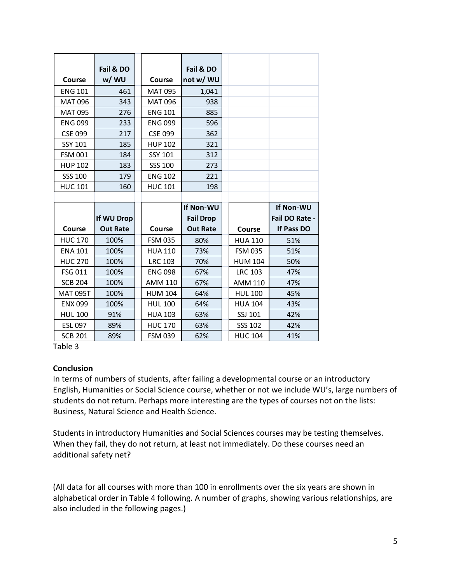|                 | Fail & DO       |                | Fail & DO        |                |                |
|-----------------|-----------------|----------------|------------------|----------------|----------------|
| Course          | w/ WU           | Course         | not w/ WU        |                |                |
| <b>ENG 101</b>  | 461             | <b>MAT 095</b> | 1,041            |                |                |
| <b>MAT 096</b>  | 343             | <b>MAT 096</b> | 938              |                |                |
| <b>MAT 095</b>  | 276             | <b>ENG 101</b> | 885              |                |                |
| <b>ENG 099</b>  | 233             | <b>ENG 099</b> | 596              |                |                |
| <b>CSE 099</b>  | 217             | <b>CSE 099</b> | 362              |                |                |
| <b>SSY 101</b>  | 185             | <b>HUP 102</b> | 321              |                |                |
| <b>FSM 001</b>  | 184             | <b>SSY 101</b> | 312              |                |                |
| <b>HUP 102</b>  | 183             | SSS 100        | 273              |                |                |
| <b>SSS 100</b>  | 179             | <b>ENG 102</b> | 221              |                |                |
| <b>HUC 101</b>  | 160             | <b>HUC 101</b> | 198              |                |                |
|                 |                 |                |                  |                |                |
|                 |                 |                | <b>If Non-WU</b> |                | If Non-WU      |
|                 | If WU Drop      |                | <b>Fail Drop</b> |                | Fail DO Rate - |
| Course          | <b>Out Rate</b> | Course         | <b>Out Rate</b>  | Course         | If Pass DO     |
| <b>HUC 170</b>  | 100%            | <b>FSM 035</b> | 80%              | <b>HUA 110</b> | 51%            |
| <b>ENA 101</b>  | 100%            | <b>HUA 110</b> | 73%              | <b>FSM 035</b> | 51%            |
| <b>HUC 270</b>  | 100%            | <b>LRC 103</b> | 70%              | <b>HUM 104</b> | 50%            |
| FSG 011         | 100%            | <b>ENG 098</b> | 67%              | <b>LRC 103</b> | 47%            |
| <b>SCB 204</b>  | 100%            | <b>AMM 110</b> | 67%              | <b>AMM 110</b> | 47%            |
| <b>MAT 095T</b> | 100%            | <b>HUM 104</b> | 64%              | <b>HUL 100</b> | 45%            |
| <b>ENX 099</b>  | 100%            | <b>HUL 100</b> | 64%              | <b>HUA 104</b> | 43%            |
| <b>HUL 100</b>  | 91%             | <b>HUA 103</b> | 63%              | SSJ 101        | 42%            |
| ESL 097         | 89%             | <b>HUC 170</b> | 63%              | <b>SSS 102</b> | 42%            |
| <b>SCB 201</b>  | 89%             | <b>FSM 039</b> | 62%              | <b>HUC 104</b> | 41%            |

Table 3

### **Conclusion**

 In terms of numbers of students, after failing a developmental course or an introductory English, Humanities or Social Science course, whether or not we include WU's, large numbers of students do not return. Perhaps more interesting are the types of courses not on the lists: Business, Natural Science and Health Science.

 Students in introductory Humanities and Social Sciences courses may be testing themselves. When they fail, they do not return, at least not immediately. Do these courses need an additional safety net?

 (All data for all courses with more than 100 in enrollments over the six years are shown in alphabetical order in Table 4 following. A number of graphs, showing various relationships, are also included in the following pages.)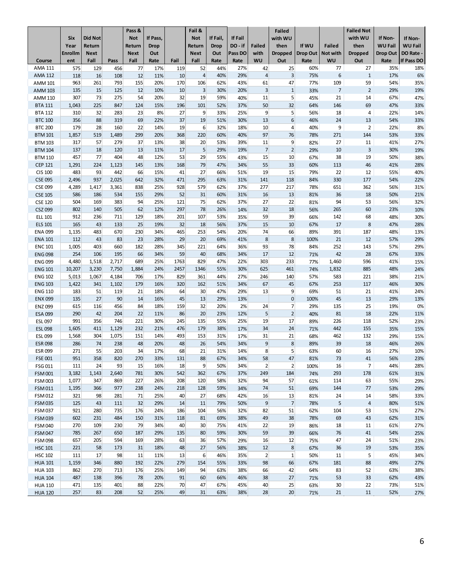| Fall<br>WU<br>Out<br>If Pass DO<br>ent<br>Fall<br>Fall<br>Fail<br>WU<br>Out<br>Rate<br>Course<br>Pass<br>Rate<br>Rate<br>Rate<br>Rate<br><b>AMA 111</b><br>456<br>119<br>52<br>25<br>60%<br>77<br>27<br>35%<br>18%<br>575<br>129<br>77<br>17%<br>44%<br>27%<br>42<br>$\overline{4}$<br>29%<br>$\overline{4}$<br>3<br>6<br>6%<br>118<br>16<br>108<br>12<br>11%<br>10<br>40%<br>75%<br>$\mathbf{1}$<br>17%<br><b>AMA 112</b><br>155<br>170<br>109<br>963<br>261<br>793<br>20%<br>106<br>62%<br>43%<br>61<br>47<br>77%<br>59<br>54%<br>35%<br><b>AMM 101</b><br>3<br>15<br>12<br>$\overline{3}$<br>$\mathbf{1}$<br>$\overline{7}$<br>$\overline{2}$<br>29%<br>135<br>125<br>10%<br>10<br>30%<br>20%<br><b>AMM 103</b><br>33%<br>19%<br>5<br>307<br>73<br>54<br>32<br>19<br>59%<br>21<br>67%<br>275<br>20%<br>40%<br>11<br>14<br>AMM 110<br>45%<br>47%<br>225<br>196<br>101<br>50<br>32<br>146<br>69<br>47%<br>1,043<br>847<br>124<br>15%<br>52%<br>37%<br>64%<br>33%<br><b>BTA 111</b><br>9<br>5<br>32<br>23<br>8%<br>27<br>9<br>18<br>310<br>283<br>33%<br>25%<br>56%<br>4<br>22%<br>14%<br><b>BTA 112</b><br>6<br>356<br>88<br>319<br>69<br>22%<br>37<br>19<br>51%<br>30%<br>13<br>24<br>13<br>54%<br>33%<br><b>BTC 100</b><br>46%<br>179<br>28<br>160<br>22<br>19<br>6<br>9<br>$\overline{2}$<br>22%<br>8%<br>14%<br>32%<br>18%<br>10<br>4<br><b>BTC 200</b><br>40%<br>519<br>1,489<br>299<br>20%<br>368<br>220<br>60%<br>40%<br>97<br>76<br>271<br>53%<br>33%<br>1,857<br>78%<br>144<br><b>BTM 101</b><br>27<br><b>BTM 103</b><br>317<br>57<br>279<br>37<br>13%<br>38<br>20<br>53%<br>39%<br>11<br>9<br>82%<br>11<br>41%<br>27%<br>5<br>$\overline{7}$<br>$\overline{2}$<br>137<br>17<br>10<br>$\overline{3}$<br>19%<br><b>BTM 104</b><br>18<br>120<br>13<br>11%<br>29%<br>19%<br>29%<br>30%<br>53<br>29<br>15<br>457<br>77<br>404<br>48<br>12%<br>55%<br>10<br>67%<br>38<br>19<br>50%<br>38%<br><b>BTM 110</b><br>43%<br><b>CEP 121</b><br>1,291<br>79<br>28%<br>224<br>1,123<br>145<br>13%<br>168<br>47%<br>34%<br>55<br>33<br>60%<br>113<br>46<br>41%<br>27<br>15<br>483<br>93<br>442<br>66<br>41<br>19<br>22<br>12<br><b>CIS 100</b><br>15%<br>66%<br>51%<br>79%<br>55%<br>40%<br>937<br>642<br>32%<br>295<br>118<br>177<br>54%<br><b>CSE 095</b><br>2,496<br>2,025<br>471<br>63%<br>31%<br>141<br>84%<br>330<br>22%<br><b>CSE 099</b><br>4,289<br>579<br>217<br>78%<br>651<br>362<br>56%<br>1,417<br>3,361<br>838<br>25%<br>928<br>62%<br>37%<br>277<br>31%<br>52<br>31<br>13<br>586<br>186<br>534<br>155<br>29%<br>60%<br>16<br>36<br>18<br>50%<br><b>CSE 105</b><br>31%<br>81%<br>21%<br>75<br>22<br>56%<br>504<br>169<br>383<br>94<br>25%<br>121<br>62%<br>27<br>94<br>53<br><b>CSE 120</b><br>37%<br>81%<br>32%<br>802<br>62<br>297<br>78<br>18<br>265<br>60<br>23%<br>CSZ 099<br>140<br>505<br>12%<br>26%<br>32<br>14%<br>56%<br>10%<br>912<br>236<br>711<br>129<br>107<br>59<br>39<br>68<br>48%<br>18%<br>201<br>53%<br>35%<br>66%<br>142<br><b>ELL 101</b><br>30%<br>165<br>25<br>32<br>18<br>56%<br>15<br>10<br>17<br>$\bf 8$<br>47%<br><b>ELS 101</b><br>43<br>133<br>19%<br>37%<br>67%<br>28%<br>230<br>34%<br>465<br>253<br>74<br>66<br>187<br>1,135<br>483<br>670<br>54%<br>20%<br>89%<br>391<br>48%<br><b>ENA 099</b><br>13%<br>23<br>112<br>43<br>83<br>29<br>20<br>8<br>8<br>21<br>12<br>57%<br>29%<br>28%<br>69%<br>41%<br><b>ENA 101</b><br>100%<br>403<br>660<br>182<br>221<br>93<br>78<br>84%<br>252<br>143<br>57%<br>29%<br>1,005<br>28%<br>345<br>64%<br>36%<br><b>ENC 101</b><br>254<br>66<br>59<br>40<br>17<br>12<br>42<br>28<br>33%<br>106<br>195<br>34%<br>68%<br>34%<br>67%<br><b>ENG 098</b><br>71%<br>4,480<br>1,518<br>2,717<br>689<br>25%<br>1763<br>829<br>47%<br>303<br>233<br>77%<br>1,460<br>596<br>41%<br>15%<br><b>ENG 099</b><br>22%<br>7,750<br>1,884<br>55%<br>625<br>461<br>74%<br>885<br>48%<br>24%<br><b>ENG 101</b><br>10,207<br>3,230<br>24%<br>2457<br>1346<br>30%<br>1,832<br>5,013<br>17%<br>829<br>361<br>27%<br>246<br>140<br>57%<br>583<br>38%<br>21%<br><b>ENG 102</b><br>1,067<br>4,184<br>706<br>44%<br>221<br>1,422<br>46%<br>30%<br><b>ENG 103</b><br>341<br>1,102<br>179<br>16%<br>320<br>162<br>51%<br>34%<br>67<br>45<br>67%<br>253<br>117<br>51<br>30<br>9<br>183<br>119<br>21<br>18%<br>64<br>47%<br>13<br>51<br>21<br>24%<br><b>ENG 110</b><br>29%<br>69%<br>41%<br>27<br>$\mathbf 0$<br>29%<br>135<br>90<br>16%<br>45<br>13<br>29%<br>13%<br>100%<br>45<br>13<br>13%<br><b>ENX 099</b><br>14<br><b>ENZ 099</b><br>615<br>116<br>456<br>84<br>18%<br>159<br>32<br>20%<br>24<br>7<br>135<br>25<br>19%<br>0%<br>2%<br>29%<br>20<br>5<br>$\overline{2}$<br>290<br>22<br>81<br>18<br>42<br>204<br>11%<br>86<br>23%<br>22%<br><b>ESA 099</b><br>12%<br>40%<br>11%<br>19<br>991<br>356<br>746<br>221<br>30%<br>245<br>135<br>55%<br>17<br>226<br>118<br>52%<br><b>ESL 097</b><br>25%<br>89%<br>23%<br>179<br>24<br>442<br>35%<br><b>ESL098</b><br>1,605<br>411<br>1,129<br>232<br>21%<br>476<br>38%<br>34<br>155<br>15%<br>17%<br>71%<br>153<br>21<br>1,568<br>304<br>1,075<br>151<br>14%<br>493<br>31%<br>17%<br>31<br>68%<br>462<br>132<br>29%<br>15%<br>ESL 099<br>8<br>286<br>74<br>238<br>48<br>26<br>9<br>39<br>18<br>46%<br>20%<br>48<br>54%<br>34%<br>26%<br><b>ESR 098</b><br>89%<br>8 <sup>1</sup><br>271<br>55<br>34<br>68<br>21<br>5<br>60<br>16<br>203<br>17%<br>31%<br>14%<br>27%<br><b>ESR 099</b><br>63%<br>10%<br>951<br>358<br>820<br>270<br>33%<br>131<br>88<br>67%<br>34%<br>58<br>47<br>81%<br>73<br>41<br>56%<br>23%<br><b>FSE 001</b><br>2 <sup>1</sup><br>93<br>9 <sup>°</sup><br>$\overline{2}$<br>$\overline{7}$<br>FSG 011<br>111<br>24<br>15<br>16%<br>18<br>50%<br>34%<br>100%<br>16<br>44%<br>28%<br>542<br><b>FSM001</b><br>3,182<br>1,143<br>2,640<br>781<br>30%<br>362<br>67%<br>37%<br>249<br>184<br>74%<br>293<br>61%<br>31%<br>178<br><b>FSM 003</b><br>63<br>1,077<br>347<br>869<br>227<br>26%<br>208<br>120<br>58%<br>32%<br>94<br>57<br>61%<br>114<br>55%<br>29%<br>128<br><b>FSM011</b><br>1,195<br>366<br>977<br>238<br>24%<br>218<br>59%<br>34%<br>74<br>51<br>69%<br>144<br>77<br>53%<br>29%<br>40<br>27<br>FSM 012<br>321<br>98<br>281<br>71<br>25%<br>68%<br>42%<br>16<br>13<br>81%<br>24<br>14<br>58%<br>33%<br>32<br>9<br>$\overline{7}$<br>5<br><b>FSM 035</b><br>125<br>43<br>111<br>29%<br>79%<br>$\overline{a}$<br>14<br>11<br>50%<br>78%<br>80%<br>51%<br><b>FSM 037</b><br>921<br>186<br>82<br>62%<br>104<br>53<br>280<br>735<br>176<br>24%<br>104<br>56%<br>32%<br>51<br>51%<br>27%<br>602<br>484<br>31%<br>118<br>49<br>38<br><b>FSM 039</b><br>231<br>150<br>81<br>69%<br>38%<br>69<br>43<br>62%<br>78%<br>31%<br>FSM 040<br>270<br>109<br>230<br>79<br>40<br>30<br>22<br>19<br>18<br>34%<br>75%<br>41%<br>86%<br>11<br>61%<br>27%<br>785<br>80<br>59<br>39<br>267<br>650<br>187<br>29%<br>135<br>59%<br>76<br><b>FSM 047</b><br>30%<br>66%<br>41<br>54%<br>25%<br>657<br>28%<br>63<br>36<br>16<br>12<br>47<br><b>FSM 098</b><br>205<br>594<br>169<br>57%<br>29%<br>24<br>51%<br>75%<br>23%<br><b>HSC 101</b><br>221<br>58<br>173<br>31<br>18%<br>48<br>27<br>56%<br>38%<br>12<br>8<br>36<br>19<br>53%<br>67%<br>35%<br>6<br>$\overline{2}$<br>111<br>17<br>98<br>11<br>13<br>$\mathbf{1}$<br>11<br>5<br>45%<br><b>HSC 102</b><br>11%<br>46%<br>35%<br>50%<br>34%<br>880<br>192<br>22%<br>279<br>55%<br>98<br>66<br>49%<br>1,159<br>346<br>154<br>33%<br>181<br>88<br><b>HUA 101</b><br>67%<br>27%<br><b>HUA 103</b><br>862<br>270<br>25%<br>94<br>38%<br>42<br>83<br>52<br>63%<br>38%<br>713<br>176<br>149<br>63%<br>66<br>64%<br>487<br>138<br>396<br>78<br>20%<br>91<br>60<br>66%<br>46%<br>38<br>27<br>53<br>33<br>62%<br><b>HUA 104</b><br>71%<br>43%<br>70<br>47<br>25<br><b>HUA 110</b><br>471<br>135<br>401<br>88<br>22%<br>67%<br>45%<br>40<br>30<br>22<br>73%<br>51%<br>63%<br><b>HUA 120</b><br>257<br>83<br>208<br>52<br>25%<br>49<br>31<br>63%<br>38%<br>28<br>20<br>71%<br>21<br>52%<br>27%<br>11 | <b>Six</b><br>Year | <b>Did Not</b><br>Return | Pass &<br><b>Not</b><br>Return | If Pass,<br><b>Drop</b> | Fail &<br><b>Not</b><br>Return | If Fail,<br><b>Drop</b> | If Fail<br>DO-if | <b>Failed</b> | <b>Failed</b><br>with WU<br>then | If WU           | <b>Failed</b> | <b>Failed Not</b><br>with WU<br>then | If Non-<br><b>WU Fail</b> | If Non-<br><b>WU Fail</b> |
|--------------------------------------------------------------------------------------------------------------------------------------------------------------------------------------------------------------------------------------------------------------------------------------------------------------------------------------------------------------------------------------------------------------------------------------------------------------------------------------------------------------------------------------------------------------------------------------------------------------------------------------------------------------------------------------------------------------------------------------------------------------------------------------------------------------------------------------------------------------------------------------------------------------------------------------------------------------------------------------------------------------------------------------------------------------------------------------------------------------------------------------------------------------------------------------------------------------------------------------------------------------------------------------------------------------------------------------------------------------------------------------------------------------------------------------------------------------------------------------------------------------------------------------------------------------------------------------------------------------------------------------------------------------------------------------------------------------------------------------------------------------------------------------------------------------------------------------------------------------------------------------------------------------------------------------------------------------------------------------------------------------------------------------------------------------------------------------------------------------------------------------------------------------------------------------------------------------------------------------------------------------------------------------------------------------------------------------------------------------------------------------------------------------------------------------------------------------------------------------------------------------------------------------------------------------------------------------------------------------------------------------------------------------------------------------------------------------------------------------------------------------------------------------------------------------------------------------------------------------------------------------------------------------------------------------------------------------------------------------------------------------------------------------------------------------------------------------------------------------------------------------------------------------------------------------------------------------------------------------------------------------------------------------------------------------------------------------------------------------------------------------------------------------------------------------------------------------------------------------------------------------------------------------------------------------------------------------------------------------------------------------------------------------------------------------------------------------------------------------------------------------------------------------------------------------------------------------------------------------------------------------------------------------------------------------------------------------------------------------------------------------------------------------------------------------------------------------------------------------------------------------------------------------------------------------------------------------------------------------------------------------------------------------------------------------------------------------------------------------------------------------------------------------------------------------------------------------------------------------------------------------------------------------------------------------------------------------------------------------------------------------------------------------------------------------------------------------------------------------------------------------------------------------------------------------------------------------------------------------------------------------------------------------------------------------------------------------------------------------------------------------------------------------------------------------------------------------------------------------------------------------------------------------------------------------------------------------------------------------------------------------------------------------------------------------------------------------------------------------------------------------------------------------------------------------------------------------------------------------------------------------------------------------------------------------------------------------------------------------------------------------------------------------------------------------------------------------------------------------------------------------------------------------------------------------------------------------------------------------------------------------------------------------------------------------------------------------------------------------------------------------------------------------------------------------------------------------------------------------------------------------------------------------------------------------------------------------------------------------------------------------------------------------------------------------------------------------------------------------------------------------------------------------------------------------------------------------------------------------------------------------------------------------------------------------------------------------------------------------------------------------------------------------------------------------------------------------------------------------------------------------------------------------------------------------------------------------------------------------------------------------------------------------------------------------------------------------------------------------------------------------------------------------------------------------------------------------------------------------------------------------------------------------------------------------------------------------------------------------------------------------------------------------------------------------------------------------------------------------------------------------------------------------------------------------------------------------------------------------------------------------------------------------------------------------------------------------------------------------------------------------------------------------------------------------------------------------------------------------------------------------------------------------------------------------------------------------------------------------------------------------------------------------------------------------|--------------------|--------------------------|--------------------------------|-------------------------|--------------------------------|-------------------------|------------------|---------------|----------------------------------|-----------------|---------------|--------------------------------------|---------------------------|---------------------------|
|                                                                                                                                                                                                                                                                                                                                                                                                                                                                                                                                                                                                                                                                                                                                                                                                                                                                                                                                                                                                                                                                                                                                                                                                                                                                                                                                                                                                                                                                                                                                                                                                                                                                                                                                                                                                                                                                                                                                                                                                                                                                                                                                                                                                                                                                                                                                                                                                                                                                                                                                                                                                                                                                                                                                                                                                                                                                                                                                                                                                                                                                                                                                                                                                                                                                                                                                                                                                                                                                                                                                                                                                                                                                                                                                                                                                                                                                                                                                                                                                                                                                                                                                                                                                                                                                                                                                                                                                                                                                                                                                                                                                                                                                                                                                                                                                                                                                                                                                                                                                                                                                                                                                                                                                                                                                                                                                                                                                                                                                                                                                                                                                                                                                                                                                                                                                                                                                                                                                                                                                                                                                                                                                                                                                                                                                                                                                                                                                                                                                                                                                                                                                                                                                                                                                                                                                                                                                                                                                                                                                                                                                                                                                                                                                                                                                                                                                                                                                                                                                                                                                                                                                                                                                                                                                                                                                                                                                                                                                      | <b>Enrollm</b>     | <b>Next</b>              | <b>Next</b>                    | Out                     | <b>Next</b>                    | Out                     | Pass DO          | with          | <b>Dropped</b>                   | <b>Drop Out</b> | Not with      | Dropped                              | Drop Out                  | DO Rate -                 |
|                                                                                                                                                                                                                                                                                                                                                                                                                                                                                                                                                                                                                                                                                                                                                                                                                                                                                                                                                                                                                                                                                                                                                                                                                                                                                                                                                                                                                                                                                                                                                                                                                                                                                                                                                                                                                                                                                                                                                                                                                                                                                                                                                                                                                                                                                                                                                                                                                                                                                                                                                                                                                                                                                                                                                                                                                                                                                                                                                                                                                                                                                                                                                                                                                                                                                                                                                                                                                                                                                                                                                                                                                                                                                                                                                                                                                                                                                                                                                                                                                                                                                                                                                                                                                                                                                                                                                                                                                                                                                                                                                                                                                                                                                                                                                                                                                                                                                                                                                                                                                                                                                                                                                                                                                                                                                                                                                                                                                                                                                                                                                                                                                                                                                                                                                                                                                                                                                                                                                                                                                                                                                                                                                                                                                                                                                                                                                                                                                                                                                                                                                                                                                                                                                                                                                                                                                                                                                                                                                                                                                                                                                                                                                                                                                                                                                                                                                                                                                                                                                                                                                                                                                                                                                                                                                                                                                                                                                                                                      |                    |                          |                                |                         |                                |                         |                  |               |                                  |                 |               |                                      |                           |                           |
|                                                                                                                                                                                                                                                                                                                                                                                                                                                                                                                                                                                                                                                                                                                                                                                                                                                                                                                                                                                                                                                                                                                                                                                                                                                                                                                                                                                                                                                                                                                                                                                                                                                                                                                                                                                                                                                                                                                                                                                                                                                                                                                                                                                                                                                                                                                                                                                                                                                                                                                                                                                                                                                                                                                                                                                                                                                                                                                                                                                                                                                                                                                                                                                                                                                                                                                                                                                                                                                                                                                                                                                                                                                                                                                                                                                                                                                                                                                                                                                                                                                                                                                                                                                                                                                                                                                                                                                                                                                                                                                                                                                                                                                                                                                                                                                                                                                                                                                                                                                                                                                                                                                                                                                                                                                                                                                                                                                                                                                                                                                                                                                                                                                                                                                                                                                                                                                                                                                                                                                                                                                                                                                                                                                                                                                                                                                                                                                                                                                                                                                                                                                                                                                                                                                                                                                                                                                                                                                                                                                                                                                                                                                                                                                                                                                                                                                                                                                                                                                                                                                                                                                                                                                                                                                                                                                                                                                                                                                                      |                    |                          |                                |                         |                                |                         |                  |               |                                  |                 |               |                                      |                           |                           |
|                                                                                                                                                                                                                                                                                                                                                                                                                                                                                                                                                                                                                                                                                                                                                                                                                                                                                                                                                                                                                                                                                                                                                                                                                                                                                                                                                                                                                                                                                                                                                                                                                                                                                                                                                                                                                                                                                                                                                                                                                                                                                                                                                                                                                                                                                                                                                                                                                                                                                                                                                                                                                                                                                                                                                                                                                                                                                                                                                                                                                                                                                                                                                                                                                                                                                                                                                                                                                                                                                                                                                                                                                                                                                                                                                                                                                                                                                                                                                                                                                                                                                                                                                                                                                                                                                                                                                                                                                                                                                                                                                                                                                                                                                                                                                                                                                                                                                                                                                                                                                                                                                                                                                                                                                                                                                                                                                                                                                                                                                                                                                                                                                                                                                                                                                                                                                                                                                                                                                                                                                                                                                                                                                                                                                                                                                                                                                                                                                                                                                                                                                                                                                                                                                                                                                                                                                                                                                                                                                                                                                                                                                                                                                                                                                                                                                                                                                                                                                                                                                                                                                                                                                                                                                                                                                                                                                                                                                                                                      |                    |                          |                                |                         |                                |                         |                  |               |                                  |                 |               |                                      |                           |                           |
|                                                                                                                                                                                                                                                                                                                                                                                                                                                                                                                                                                                                                                                                                                                                                                                                                                                                                                                                                                                                                                                                                                                                                                                                                                                                                                                                                                                                                                                                                                                                                                                                                                                                                                                                                                                                                                                                                                                                                                                                                                                                                                                                                                                                                                                                                                                                                                                                                                                                                                                                                                                                                                                                                                                                                                                                                                                                                                                                                                                                                                                                                                                                                                                                                                                                                                                                                                                                                                                                                                                                                                                                                                                                                                                                                                                                                                                                                                                                                                                                                                                                                                                                                                                                                                                                                                                                                                                                                                                                                                                                                                                                                                                                                                                                                                                                                                                                                                                                                                                                                                                                                                                                                                                                                                                                                                                                                                                                                                                                                                                                                                                                                                                                                                                                                                                                                                                                                                                                                                                                                                                                                                                                                                                                                                                                                                                                                                                                                                                                                                                                                                                                                                                                                                                                                                                                                                                                                                                                                                                                                                                                                                                                                                                                                                                                                                                                                                                                                                                                                                                                                                                                                                                                                                                                                                                                                                                                                                                                      |                    |                          |                                |                         |                                |                         |                  |               |                                  |                 |               |                                      |                           |                           |
|                                                                                                                                                                                                                                                                                                                                                                                                                                                                                                                                                                                                                                                                                                                                                                                                                                                                                                                                                                                                                                                                                                                                                                                                                                                                                                                                                                                                                                                                                                                                                                                                                                                                                                                                                                                                                                                                                                                                                                                                                                                                                                                                                                                                                                                                                                                                                                                                                                                                                                                                                                                                                                                                                                                                                                                                                                                                                                                                                                                                                                                                                                                                                                                                                                                                                                                                                                                                                                                                                                                                                                                                                                                                                                                                                                                                                                                                                                                                                                                                                                                                                                                                                                                                                                                                                                                                                                                                                                                                                                                                                                                                                                                                                                                                                                                                                                                                                                                                                                                                                                                                                                                                                                                                                                                                                                                                                                                                                                                                                                                                                                                                                                                                                                                                                                                                                                                                                                                                                                                                                                                                                                                                                                                                                                                                                                                                                                                                                                                                                                                                                                                                                                                                                                                                                                                                                                                                                                                                                                                                                                                                                                                                                                                                                                                                                                                                                                                                                                                                                                                                                                                                                                                                                                                                                                                                                                                                                                                                      |                    |                          |                                |                         |                                |                         |                  |               |                                  |                 |               |                                      |                           |                           |
|                                                                                                                                                                                                                                                                                                                                                                                                                                                                                                                                                                                                                                                                                                                                                                                                                                                                                                                                                                                                                                                                                                                                                                                                                                                                                                                                                                                                                                                                                                                                                                                                                                                                                                                                                                                                                                                                                                                                                                                                                                                                                                                                                                                                                                                                                                                                                                                                                                                                                                                                                                                                                                                                                                                                                                                                                                                                                                                                                                                                                                                                                                                                                                                                                                                                                                                                                                                                                                                                                                                                                                                                                                                                                                                                                                                                                                                                                                                                                                                                                                                                                                                                                                                                                                                                                                                                                                                                                                                                                                                                                                                                                                                                                                                                                                                                                                                                                                                                                                                                                                                                                                                                                                                                                                                                                                                                                                                                                                                                                                                                                                                                                                                                                                                                                                                                                                                                                                                                                                                                                                                                                                                                                                                                                                                                                                                                                                                                                                                                                                                                                                                                                                                                                                                                                                                                                                                                                                                                                                                                                                                                                                                                                                                                                                                                                                                                                                                                                                                                                                                                                                                                                                                                                                                                                                                                                                                                                                                                      |                    |                          |                                |                         |                                |                         |                  |               |                                  |                 |               |                                      |                           |                           |
|                                                                                                                                                                                                                                                                                                                                                                                                                                                                                                                                                                                                                                                                                                                                                                                                                                                                                                                                                                                                                                                                                                                                                                                                                                                                                                                                                                                                                                                                                                                                                                                                                                                                                                                                                                                                                                                                                                                                                                                                                                                                                                                                                                                                                                                                                                                                                                                                                                                                                                                                                                                                                                                                                                                                                                                                                                                                                                                                                                                                                                                                                                                                                                                                                                                                                                                                                                                                                                                                                                                                                                                                                                                                                                                                                                                                                                                                                                                                                                                                                                                                                                                                                                                                                                                                                                                                                                                                                                                                                                                                                                                                                                                                                                                                                                                                                                                                                                                                                                                                                                                                                                                                                                                                                                                                                                                                                                                                                                                                                                                                                                                                                                                                                                                                                                                                                                                                                                                                                                                                                                                                                                                                                                                                                                                                                                                                                                                                                                                                                                                                                                                                                                                                                                                                                                                                                                                                                                                                                                                                                                                                                                                                                                                                                                                                                                                                                                                                                                                                                                                                                                                                                                                                                                                                                                                                                                                                                                                                      |                    |                          |                                |                         |                                |                         |                  |               |                                  |                 |               |                                      |                           |                           |
|                                                                                                                                                                                                                                                                                                                                                                                                                                                                                                                                                                                                                                                                                                                                                                                                                                                                                                                                                                                                                                                                                                                                                                                                                                                                                                                                                                                                                                                                                                                                                                                                                                                                                                                                                                                                                                                                                                                                                                                                                                                                                                                                                                                                                                                                                                                                                                                                                                                                                                                                                                                                                                                                                                                                                                                                                                                                                                                                                                                                                                                                                                                                                                                                                                                                                                                                                                                                                                                                                                                                                                                                                                                                                                                                                                                                                                                                                                                                                                                                                                                                                                                                                                                                                                                                                                                                                                                                                                                                                                                                                                                                                                                                                                                                                                                                                                                                                                                                                                                                                                                                                                                                                                                                                                                                                                                                                                                                                                                                                                                                                                                                                                                                                                                                                                                                                                                                                                                                                                                                                                                                                                                                                                                                                                                                                                                                                                                                                                                                                                                                                                                                                                                                                                                                                                                                                                                                                                                                                                                                                                                                                                                                                                                                                                                                                                                                                                                                                                                                                                                                                                                                                                                                                                                                                                                                                                                                                                                                      |                    |                          |                                |                         |                                |                         |                  |               |                                  |                 |               |                                      |                           |                           |
|                                                                                                                                                                                                                                                                                                                                                                                                                                                                                                                                                                                                                                                                                                                                                                                                                                                                                                                                                                                                                                                                                                                                                                                                                                                                                                                                                                                                                                                                                                                                                                                                                                                                                                                                                                                                                                                                                                                                                                                                                                                                                                                                                                                                                                                                                                                                                                                                                                                                                                                                                                                                                                                                                                                                                                                                                                                                                                                                                                                                                                                                                                                                                                                                                                                                                                                                                                                                                                                                                                                                                                                                                                                                                                                                                                                                                                                                                                                                                                                                                                                                                                                                                                                                                                                                                                                                                                                                                                                                                                                                                                                                                                                                                                                                                                                                                                                                                                                                                                                                                                                                                                                                                                                                                                                                                                                                                                                                                                                                                                                                                                                                                                                                                                                                                                                                                                                                                                                                                                                                                                                                                                                                                                                                                                                                                                                                                                                                                                                                                                                                                                                                                                                                                                                                                                                                                                                                                                                                                                                                                                                                                                                                                                                                                                                                                                                                                                                                                                                                                                                                                                                                                                                                                                                                                                                                                                                                                                                                      |                    |                          |                                |                         |                                |                         |                  |               |                                  |                 |               |                                      |                           |                           |
|                                                                                                                                                                                                                                                                                                                                                                                                                                                                                                                                                                                                                                                                                                                                                                                                                                                                                                                                                                                                                                                                                                                                                                                                                                                                                                                                                                                                                                                                                                                                                                                                                                                                                                                                                                                                                                                                                                                                                                                                                                                                                                                                                                                                                                                                                                                                                                                                                                                                                                                                                                                                                                                                                                                                                                                                                                                                                                                                                                                                                                                                                                                                                                                                                                                                                                                                                                                                                                                                                                                                                                                                                                                                                                                                                                                                                                                                                                                                                                                                                                                                                                                                                                                                                                                                                                                                                                                                                                                                                                                                                                                                                                                                                                                                                                                                                                                                                                                                                                                                                                                                                                                                                                                                                                                                                                                                                                                                                                                                                                                                                                                                                                                                                                                                                                                                                                                                                                                                                                                                                                                                                                                                                                                                                                                                                                                                                                                                                                                                                                                                                                                                                                                                                                                                                                                                                                                                                                                                                                                                                                                                                                                                                                                                                                                                                                                                                                                                                                                                                                                                                                                                                                                                                                                                                                                                                                                                                                                                      |                    |                          |                                |                         |                                |                         |                  |               |                                  |                 |               |                                      |                           |                           |
|                                                                                                                                                                                                                                                                                                                                                                                                                                                                                                                                                                                                                                                                                                                                                                                                                                                                                                                                                                                                                                                                                                                                                                                                                                                                                                                                                                                                                                                                                                                                                                                                                                                                                                                                                                                                                                                                                                                                                                                                                                                                                                                                                                                                                                                                                                                                                                                                                                                                                                                                                                                                                                                                                                                                                                                                                                                                                                                                                                                                                                                                                                                                                                                                                                                                                                                                                                                                                                                                                                                                                                                                                                                                                                                                                                                                                                                                                                                                                                                                                                                                                                                                                                                                                                                                                                                                                                                                                                                                                                                                                                                                                                                                                                                                                                                                                                                                                                                                                                                                                                                                                                                                                                                                                                                                                                                                                                                                                                                                                                                                                                                                                                                                                                                                                                                                                                                                                                                                                                                                                                                                                                                                                                                                                                                                                                                                                                                                                                                                                                                                                                                                                                                                                                                                                                                                                                                                                                                                                                                                                                                                                                                                                                                                                                                                                                                                                                                                                                                                                                                                                                                                                                                                                                                                                                                                                                                                                                                                      |                    |                          |                                |                         |                                |                         |                  |               |                                  |                 |               |                                      |                           |                           |
|                                                                                                                                                                                                                                                                                                                                                                                                                                                                                                                                                                                                                                                                                                                                                                                                                                                                                                                                                                                                                                                                                                                                                                                                                                                                                                                                                                                                                                                                                                                                                                                                                                                                                                                                                                                                                                                                                                                                                                                                                                                                                                                                                                                                                                                                                                                                                                                                                                                                                                                                                                                                                                                                                                                                                                                                                                                                                                                                                                                                                                                                                                                                                                                                                                                                                                                                                                                                                                                                                                                                                                                                                                                                                                                                                                                                                                                                                                                                                                                                                                                                                                                                                                                                                                                                                                                                                                                                                                                                                                                                                                                                                                                                                                                                                                                                                                                                                                                                                                                                                                                                                                                                                                                                                                                                                                                                                                                                                                                                                                                                                                                                                                                                                                                                                                                                                                                                                                                                                                                                                                                                                                                                                                                                                                                                                                                                                                                                                                                                                                                                                                                                                                                                                                                                                                                                                                                                                                                                                                                                                                                                                                                                                                                                                                                                                                                                                                                                                                                                                                                                                                                                                                                                                                                                                                                                                                                                                                                                      |                    |                          |                                |                         |                                |                         |                  |               |                                  |                 |               |                                      |                           |                           |
|                                                                                                                                                                                                                                                                                                                                                                                                                                                                                                                                                                                                                                                                                                                                                                                                                                                                                                                                                                                                                                                                                                                                                                                                                                                                                                                                                                                                                                                                                                                                                                                                                                                                                                                                                                                                                                                                                                                                                                                                                                                                                                                                                                                                                                                                                                                                                                                                                                                                                                                                                                                                                                                                                                                                                                                                                                                                                                                                                                                                                                                                                                                                                                                                                                                                                                                                                                                                                                                                                                                                                                                                                                                                                                                                                                                                                                                                                                                                                                                                                                                                                                                                                                                                                                                                                                                                                                                                                                                                                                                                                                                                                                                                                                                                                                                                                                                                                                                                                                                                                                                                                                                                                                                                                                                                                                                                                                                                                                                                                                                                                                                                                                                                                                                                                                                                                                                                                                                                                                                                                                                                                                                                                                                                                                                                                                                                                                                                                                                                                                                                                                                                                                                                                                                                                                                                                                                                                                                                                                                                                                                                                                                                                                                                                                                                                                                                                                                                                                                                                                                                                                                                                                                                                                                                                                                                                                                                                                                                      |                    |                          |                                |                         |                                |                         |                  |               |                                  |                 |               |                                      |                           |                           |
|                                                                                                                                                                                                                                                                                                                                                                                                                                                                                                                                                                                                                                                                                                                                                                                                                                                                                                                                                                                                                                                                                                                                                                                                                                                                                                                                                                                                                                                                                                                                                                                                                                                                                                                                                                                                                                                                                                                                                                                                                                                                                                                                                                                                                                                                                                                                                                                                                                                                                                                                                                                                                                                                                                                                                                                                                                                                                                                                                                                                                                                                                                                                                                                                                                                                                                                                                                                                                                                                                                                                                                                                                                                                                                                                                                                                                                                                                                                                                                                                                                                                                                                                                                                                                                                                                                                                                                                                                                                                                                                                                                                                                                                                                                                                                                                                                                                                                                                                                                                                                                                                                                                                                                                                                                                                                                                                                                                                                                                                                                                                                                                                                                                                                                                                                                                                                                                                                                                                                                                                                                                                                                                                                                                                                                                                                                                                                                                                                                                                                                                                                                                                                                                                                                                                                                                                                                                                                                                                                                                                                                                                                                                                                                                                                                                                                                                                                                                                                                                                                                                                                                                                                                                                                                                                                                                                                                                                                                                                      |                    |                          |                                |                         |                                |                         |                  |               |                                  |                 |               |                                      |                           |                           |
|                                                                                                                                                                                                                                                                                                                                                                                                                                                                                                                                                                                                                                                                                                                                                                                                                                                                                                                                                                                                                                                                                                                                                                                                                                                                                                                                                                                                                                                                                                                                                                                                                                                                                                                                                                                                                                                                                                                                                                                                                                                                                                                                                                                                                                                                                                                                                                                                                                                                                                                                                                                                                                                                                                                                                                                                                                                                                                                                                                                                                                                                                                                                                                                                                                                                                                                                                                                                                                                                                                                                                                                                                                                                                                                                                                                                                                                                                                                                                                                                                                                                                                                                                                                                                                                                                                                                                                                                                                                                                                                                                                                                                                                                                                                                                                                                                                                                                                                                                                                                                                                                                                                                                                                                                                                                                                                                                                                                                                                                                                                                                                                                                                                                                                                                                                                                                                                                                                                                                                                                                                                                                                                                                                                                                                                                                                                                                                                                                                                                                                                                                                                                                                                                                                                                                                                                                                                                                                                                                                                                                                                                                                                                                                                                                                                                                                                                                                                                                                                                                                                                                                                                                                                                                                                                                                                                                                                                                                                                      |                    |                          |                                |                         |                                |                         |                  |               |                                  |                 |               |                                      |                           |                           |
|                                                                                                                                                                                                                                                                                                                                                                                                                                                                                                                                                                                                                                                                                                                                                                                                                                                                                                                                                                                                                                                                                                                                                                                                                                                                                                                                                                                                                                                                                                                                                                                                                                                                                                                                                                                                                                                                                                                                                                                                                                                                                                                                                                                                                                                                                                                                                                                                                                                                                                                                                                                                                                                                                                                                                                                                                                                                                                                                                                                                                                                                                                                                                                                                                                                                                                                                                                                                                                                                                                                                                                                                                                                                                                                                                                                                                                                                                                                                                                                                                                                                                                                                                                                                                                                                                                                                                                                                                                                                                                                                                                                                                                                                                                                                                                                                                                                                                                                                                                                                                                                                                                                                                                                                                                                                                                                                                                                                                                                                                                                                                                                                                                                                                                                                                                                                                                                                                                                                                                                                                                                                                                                                                                                                                                                                                                                                                                                                                                                                                                                                                                                                                                                                                                                                                                                                                                                                                                                                                                                                                                                                                                                                                                                                                                                                                                                                                                                                                                                                                                                                                                                                                                                                                                                                                                                                                                                                                                                                      |                    |                          |                                |                         |                                |                         |                  |               |                                  |                 |               |                                      |                           |                           |
|                                                                                                                                                                                                                                                                                                                                                                                                                                                                                                                                                                                                                                                                                                                                                                                                                                                                                                                                                                                                                                                                                                                                                                                                                                                                                                                                                                                                                                                                                                                                                                                                                                                                                                                                                                                                                                                                                                                                                                                                                                                                                                                                                                                                                                                                                                                                                                                                                                                                                                                                                                                                                                                                                                                                                                                                                                                                                                                                                                                                                                                                                                                                                                                                                                                                                                                                                                                                                                                                                                                                                                                                                                                                                                                                                                                                                                                                                                                                                                                                                                                                                                                                                                                                                                                                                                                                                                                                                                                                                                                                                                                                                                                                                                                                                                                                                                                                                                                                                                                                                                                                                                                                                                                                                                                                                                                                                                                                                                                                                                                                                                                                                                                                                                                                                                                                                                                                                                                                                                                                                                                                                                                                                                                                                                                                                                                                                                                                                                                                                                                                                                                                                                                                                                                                                                                                                                                                                                                                                                                                                                                                                                                                                                                                                                                                                                                                                                                                                                                                                                                                                                                                                                                                                                                                                                                                                                                                                                                                      |                    |                          |                                |                         |                                |                         |                  |               |                                  |                 |               |                                      |                           |                           |
|                                                                                                                                                                                                                                                                                                                                                                                                                                                                                                                                                                                                                                                                                                                                                                                                                                                                                                                                                                                                                                                                                                                                                                                                                                                                                                                                                                                                                                                                                                                                                                                                                                                                                                                                                                                                                                                                                                                                                                                                                                                                                                                                                                                                                                                                                                                                                                                                                                                                                                                                                                                                                                                                                                                                                                                                                                                                                                                                                                                                                                                                                                                                                                                                                                                                                                                                                                                                                                                                                                                                                                                                                                                                                                                                                                                                                                                                                                                                                                                                                                                                                                                                                                                                                                                                                                                                                                                                                                                                                                                                                                                                                                                                                                                                                                                                                                                                                                                                                                                                                                                                                                                                                                                                                                                                                                                                                                                                                                                                                                                                                                                                                                                                                                                                                                                                                                                                                                                                                                                                                                                                                                                                                                                                                                                                                                                                                                                                                                                                                                                                                                                                                                                                                                                                                                                                                                                                                                                                                                                                                                                                                                                                                                                                                                                                                                                                                                                                                                                                                                                                                                                                                                                                                                                                                                                                                                                                                                                                      |                    |                          |                                |                         |                                |                         |                  |               |                                  |                 |               |                                      |                           |                           |
|                                                                                                                                                                                                                                                                                                                                                                                                                                                                                                                                                                                                                                                                                                                                                                                                                                                                                                                                                                                                                                                                                                                                                                                                                                                                                                                                                                                                                                                                                                                                                                                                                                                                                                                                                                                                                                                                                                                                                                                                                                                                                                                                                                                                                                                                                                                                                                                                                                                                                                                                                                                                                                                                                                                                                                                                                                                                                                                                                                                                                                                                                                                                                                                                                                                                                                                                                                                                                                                                                                                                                                                                                                                                                                                                                                                                                                                                                                                                                                                                                                                                                                                                                                                                                                                                                                                                                                                                                                                                                                                                                                                                                                                                                                                                                                                                                                                                                                                                                                                                                                                                                                                                                                                                                                                                                                                                                                                                                                                                                                                                                                                                                                                                                                                                                                                                                                                                                                                                                                                                                                                                                                                                                                                                                                                                                                                                                                                                                                                                                                                                                                                                                                                                                                                                                                                                                                                                                                                                                                                                                                                                                                                                                                                                                                                                                                                                                                                                                                                                                                                                                                                                                                                                                                                                                                                                                                                                                                                                      |                    |                          |                                |                         |                                |                         |                  |               |                                  |                 |               |                                      |                           |                           |
|                                                                                                                                                                                                                                                                                                                                                                                                                                                                                                                                                                                                                                                                                                                                                                                                                                                                                                                                                                                                                                                                                                                                                                                                                                                                                                                                                                                                                                                                                                                                                                                                                                                                                                                                                                                                                                                                                                                                                                                                                                                                                                                                                                                                                                                                                                                                                                                                                                                                                                                                                                                                                                                                                                                                                                                                                                                                                                                                                                                                                                                                                                                                                                                                                                                                                                                                                                                                                                                                                                                                                                                                                                                                                                                                                                                                                                                                                                                                                                                                                                                                                                                                                                                                                                                                                                                                                                                                                                                                                                                                                                                                                                                                                                                                                                                                                                                                                                                                                                                                                                                                                                                                                                                                                                                                                                                                                                                                                                                                                                                                                                                                                                                                                                                                                                                                                                                                                                                                                                                                                                                                                                                                                                                                                                                                                                                                                                                                                                                                                                                                                                                                                                                                                                                                                                                                                                                                                                                                                                                                                                                                                                                                                                                                                                                                                                                                                                                                                                                                                                                                                                                                                                                                                                                                                                                                                                                                                                                                      |                    |                          |                                |                         |                                |                         |                  |               |                                  |                 |               |                                      |                           |                           |
|                                                                                                                                                                                                                                                                                                                                                                                                                                                                                                                                                                                                                                                                                                                                                                                                                                                                                                                                                                                                                                                                                                                                                                                                                                                                                                                                                                                                                                                                                                                                                                                                                                                                                                                                                                                                                                                                                                                                                                                                                                                                                                                                                                                                                                                                                                                                                                                                                                                                                                                                                                                                                                                                                                                                                                                                                                                                                                                                                                                                                                                                                                                                                                                                                                                                                                                                                                                                                                                                                                                                                                                                                                                                                                                                                                                                                                                                                                                                                                                                                                                                                                                                                                                                                                                                                                                                                                                                                                                                                                                                                                                                                                                                                                                                                                                                                                                                                                                                                                                                                                                                                                                                                                                                                                                                                                                                                                                                                                                                                                                                                                                                                                                                                                                                                                                                                                                                                                                                                                                                                                                                                                                                                                                                                                                                                                                                                                                                                                                                                                                                                                                                                                                                                                                                                                                                                                                                                                                                                                                                                                                                                                                                                                                                                                                                                                                                                                                                                                                                                                                                                                                                                                                                                                                                                                                                                                                                                                                                      |                    |                          |                                |                         |                                |                         |                  |               |                                  |                 |               |                                      |                           |                           |
|                                                                                                                                                                                                                                                                                                                                                                                                                                                                                                                                                                                                                                                                                                                                                                                                                                                                                                                                                                                                                                                                                                                                                                                                                                                                                                                                                                                                                                                                                                                                                                                                                                                                                                                                                                                                                                                                                                                                                                                                                                                                                                                                                                                                                                                                                                                                                                                                                                                                                                                                                                                                                                                                                                                                                                                                                                                                                                                                                                                                                                                                                                                                                                                                                                                                                                                                                                                                                                                                                                                                                                                                                                                                                                                                                                                                                                                                                                                                                                                                                                                                                                                                                                                                                                                                                                                                                                                                                                                                                                                                                                                                                                                                                                                                                                                                                                                                                                                                                                                                                                                                                                                                                                                                                                                                                                                                                                                                                                                                                                                                                                                                                                                                                                                                                                                                                                                                                                                                                                                                                                                                                                                                                                                                                                                                                                                                                                                                                                                                                                                                                                                                                                                                                                                                                                                                                                                                                                                                                                                                                                                                                                                                                                                                                                                                                                                                                                                                                                                                                                                                                                                                                                                                                                                                                                                                                                                                                                                                      |                    |                          |                                |                         |                                |                         |                  |               |                                  |                 |               |                                      |                           |                           |
|                                                                                                                                                                                                                                                                                                                                                                                                                                                                                                                                                                                                                                                                                                                                                                                                                                                                                                                                                                                                                                                                                                                                                                                                                                                                                                                                                                                                                                                                                                                                                                                                                                                                                                                                                                                                                                                                                                                                                                                                                                                                                                                                                                                                                                                                                                                                                                                                                                                                                                                                                                                                                                                                                                                                                                                                                                                                                                                                                                                                                                                                                                                                                                                                                                                                                                                                                                                                                                                                                                                                                                                                                                                                                                                                                                                                                                                                                                                                                                                                                                                                                                                                                                                                                                                                                                                                                                                                                                                                                                                                                                                                                                                                                                                                                                                                                                                                                                                                                                                                                                                                                                                                                                                                                                                                                                                                                                                                                                                                                                                                                                                                                                                                                                                                                                                                                                                                                                                                                                                                                                                                                                                                                                                                                                                                                                                                                                                                                                                                                                                                                                                                                                                                                                                                                                                                                                                                                                                                                                                                                                                                                                                                                                                                                                                                                                                                                                                                                                                                                                                                                                                                                                                                                                                                                                                                                                                                                                                                      |                    |                          |                                |                         |                                |                         |                  |               |                                  |                 |               |                                      |                           |                           |
|                                                                                                                                                                                                                                                                                                                                                                                                                                                                                                                                                                                                                                                                                                                                                                                                                                                                                                                                                                                                                                                                                                                                                                                                                                                                                                                                                                                                                                                                                                                                                                                                                                                                                                                                                                                                                                                                                                                                                                                                                                                                                                                                                                                                                                                                                                                                                                                                                                                                                                                                                                                                                                                                                                                                                                                                                                                                                                                                                                                                                                                                                                                                                                                                                                                                                                                                                                                                                                                                                                                                                                                                                                                                                                                                                                                                                                                                                                                                                                                                                                                                                                                                                                                                                                                                                                                                                                                                                                                                                                                                                                                                                                                                                                                                                                                                                                                                                                                                                                                                                                                                                                                                                                                                                                                                                                                                                                                                                                                                                                                                                                                                                                                                                                                                                                                                                                                                                                                                                                                                                                                                                                                                                                                                                                                                                                                                                                                                                                                                                                                                                                                                                                                                                                                                                                                                                                                                                                                                                                                                                                                                                                                                                                                                                                                                                                                                                                                                                                                                                                                                                                                                                                                                                                                                                                                                                                                                                                                                      |                    |                          |                                |                         |                                |                         |                  |               |                                  |                 |               |                                      |                           |                           |
|                                                                                                                                                                                                                                                                                                                                                                                                                                                                                                                                                                                                                                                                                                                                                                                                                                                                                                                                                                                                                                                                                                                                                                                                                                                                                                                                                                                                                                                                                                                                                                                                                                                                                                                                                                                                                                                                                                                                                                                                                                                                                                                                                                                                                                                                                                                                                                                                                                                                                                                                                                                                                                                                                                                                                                                                                                                                                                                                                                                                                                                                                                                                                                                                                                                                                                                                                                                                                                                                                                                                                                                                                                                                                                                                                                                                                                                                                                                                                                                                                                                                                                                                                                                                                                                                                                                                                                                                                                                                                                                                                                                                                                                                                                                                                                                                                                                                                                                                                                                                                                                                                                                                                                                                                                                                                                                                                                                                                                                                                                                                                                                                                                                                                                                                                                                                                                                                                                                                                                                                                                                                                                                                                                                                                                                                                                                                                                                                                                                                                                                                                                                                                                                                                                                                                                                                                                                                                                                                                                                                                                                                                                                                                                                                                                                                                                                                                                                                                                                                                                                                                                                                                                                                                                                                                                                                                                                                                                                                      |                    |                          |                                |                         |                                |                         |                  |               |                                  |                 |               |                                      |                           |                           |
|                                                                                                                                                                                                                                                                                                                                                                                                                                                                                                                                                                                                                                                                                                                                                                                                                                                                                                                                                                                                                                                                                                                                                                                                                                                                                                                                                                                                                                                                                                                                                                                                                                                                                                                                                                                                                                                                                                                                                                                                                                                                                                                                                                                                                                                                                                                                                                                                                                                                                                                                                                                                                                                                                                                                                                                                                                                                                                                                                                                                                                                                                                                                                                                                                                                                                                                                                                                                                                                                                                                                                                                                                                                                                                                                                                                                                                                                                                                                                                                                                                                                                                                                                                                                                                                                                                                                                                                                                                                                                                                                                                                                                                                                                                                                                                                                                                                                                                                                                                                                                                                                                                                                                                                                                                                                                                                                                                                                                                                                                                                                                                                                                                                                                                                                                                                                                                                                                                                                                                                                                                                                                                                                                                                                                                                                                                                                                                                                                                                                                                                                                                                                                                                                                                                                                                                                                                                                                                                                                                                                                                                                                                                                                                                                                                                                                                                                                                                                                                                                                                                                                                                                                                                                                                                                                                                                                                                                                                                                      |                    |                          |                                |                         |                                |                         |                  |               |                                  |                 |               |                                      |                           |                           |
|                                                                                                                                                                                                                                                                                                                                                                                                                                                                                                                                                                                                                                                                                                                                                                                                                                                                                                                                                                                                                                                                                                                                                                                                                                                                                                                                                                                                                                                                                                                                                                                                                                                                                                                                                                                                                                                                                                                                                                                                                                                                                                                                                                                                                                                                                                                                                                                                                                                                                                                                                                                                                                                                                                                                                                                                                                                                                                                                                                                                                                                                                                                                                                                                                                                                                                                                                                                                                                                                                                                                                                                                                                                                                                                                                                                                                                                                                                                                                                                                                                                                                                                                                                                                                                                                                                                                                                                                                                                                                                                                                                                                                                                                                                                                                                                                                                                                                                                                                                                                                                                                                                                                                                                                                                                                                                                                                                                                                                                                                                                                                                                                                                                                                                                                                                                                                                                                                                                                                                                                                                                                                                                                                                                                                                                                                                                                                                                                                                                                                                                                                                                                                                                                                                                                                                                                                                                                                                                                                                                                                                                                                                                                                                                                                                                                                                                                                                                                                                                                                                                                                                                                                                                                                                                                                                                                                                                                                                                                      |                    |                          |                                |                         |                                |                         |                  |               |                                  |                 |               |                                      |                           |                           |
|                                                                                                                                                                                                                                                                                                                                                                                                                                                                                                                                                                                                                                                                                                                                                                                                                                                                                                                                                                                                                                                                                                                                                                                                                                                                                                                                                                                                                                                                                                                                                                                                                                                                                                                                                                                                                                                                                                                                                                                                                                                                                                                                                                                                                                                                                                                                                                                                                                                                                                                                                                                                                                                                                                                                                                                                                                                                                                                                                                                                                                                                                                                                                                                                                                                                                                                                                                                                                                                                                                                                                                                                                                                                                                                                                                                                                                                                                                                                                                                                                                                                                                                                                                                                                                                                                                                                                                                                                                                                                                                                                                                                                                                                                                                                                                                                                                                                                                                                                                                                                                                                                                                                                                                                                                                                                                                                                                                                                                                                                                                                                                                                                                                                                                                                                                                                                                                                                                                                                                                                                                                                                                                                                                                                                                                                                                                                                                                                                                                                                                                                                                                                                                                                                                                                                                                                                                                                                                                                                                                                                                                                                                                                                                                                                                                                                                                                                                                                                                                                                                                                                                                                                                                                                                                                                                                                                                                                                                                                      |                    |                          |                                |                         |                                |                         |                  |               |                                  |                 |               |                                      |                           |                           |
|                                                                                                                                                                                                                                                                                                                                                                                                                                                                                                                                                                                                                                                                                                                                                                                                                                                                                                                                                                                                                                                                                                                                                                                                                                                                                                                                                                                                                                                                                                                                                                                                                                                                                                                                                                                                                                                                                                                                                                                                                                                                                                                                                                                                                                                                                                                                                                                                                                                                                                                                                                                                                                                                                                                                                                                                                                                                                                                                                                                                                                                                                                                                                                                                                                                                                                                                                                                                                                                                                                                                                                                                                                                                                                                                                                                                                                                                                                                                                                                                                                                                                                                                                                                                                                                                                                                                                                                                                                                                                                                                                                                                                                                                                                                                                                                                                                                                                                                                                                                                                                                                                                                                                                                                                                                                                                                                                                                                                                                                                                                                                                                                                                                                                                                                                                                                                                                                                                                                                                                                                                                                                                                                                                                                                                                                                                                                                                                                                                                                                                                                                                                                                                                                                                                                                                                                                                                                                                                                                                                                                                                                                                                                                                                                                                                                                                                                                                                                                                                                                                                                                                                                                                                                                                                                                                                                                                                                                                                                      |                    |                          |                                |                         |                                |                         |                  |               |                                  |                 |               |                                      |                           |                           |
|                                                                                                                                                                                                                                                                                                                                                                                                                                                                                                                                                                                                                                                                                                                                                                                                                                                                                                                                                                                                                                                                                                                                                                                                                                                                                                                                                                                                                                                                                                                                                                                                                                                                                                                                                                                                                                                                                                                                                                                                                                                                                                                                                                                                                                                                                                                                                                                                                                                                                                                                                                                                                                                                                                                                                                                                                                                                                                                                                                                                                                                                                                                                                                                                                                                                                                                                                                                                                                                                                                                                                                                                                                                                                                                                                                                                                                                                                                                                                                                                                                                                                                                                                                                                                                                                                                                                                                                                                                                                                                                                                                                                                                                                                                                                                                                                                                                                                                                                                                                                                                                                                                                                                                                                                                                                                                                                                                                                                                                                                                                                                                                                                                                                                                                                                                                                                                                                                                                                                                                                                                                                                                                                                                                                                                                                                                                                                                                                                                                                                                                                                                                                                                                                                                                                                                                                                                                                                                                                                                                                                                                                                                                                                                                                                                                                                                                                                                                                                                                                                                                                                                                                                                                                                                                                                                                                                                                                                                                                      |                    |                          |                                |                         |                                |                         |                  |               |                                  |                 |               |                                      |                           |                           |
|                                                                                                                                                                                                                                                                                                                                                                                                                                                                                                                                                                                                                                                                                                                                                                                                                                                                                                                                                                                                                                                                                                                                                                                                                                                                                                                                                                                                                                                                                                                                                                                                                                                                                                                                                                                                                                                                                                                                                                                                                                                                                                                                                                                                                                                                                                                                                                                                                                                                                                                                                                                                                                                                                                                                                                                                                                                                                                                                                                                                                                                                                                                                                                                                                                                                                                                                                                                                                                                                                                                                                                                                                                                                                                                                                                                                                                                                                                                                                                                                                                                                                                                                                                                                                                                                                                                                                                                                                                                                                                                                                                                                                                                                                                                                                                                                                                                                                                                                                                                                                                                                                                                                                                                                                                                                                                                                                                                                                                                                                                                                                                                                                                                                                                                                                                                                                                                                                                                                                                                                                                                                                                                                                                                                                                                                                                                                                                                                                                                                                                                                                                                                                                                                                                                                                                                                                                                                                                                                                                                                                                                                                                                                                                                                                                                                                                                                                                                                                                                                                                                                                                                                                                                                                                                                                                                                                                                                                                                                      |                    |                          |                                |                         |                                |                         |                  |               |                                  |                 |               |                                      |                           |                           |
|                                                                                                                                                                                                                                                                                                                                                                                                                                                                                                                                                                                                                                                                                                                                                                                                                                                                                                                                                                                                                                                                                                                                                                                                                                                                                                                                                                                                                                                                                                                                                                                                                                                                                                                                                                                                                                                                                                                                                                                                                                                                                                                                                                                                                                                                                                                                                                                                                                                                                                                                                                                                                                                                                                                                                                                                                                                                                                                                                                                                                                                                                                                                                                                                                                                                                                                                                                                                                                                                                                                                                                                                                                                                                                                                                                                                                                                                                                                                                                                                                                                                                                                                                                                                                                                                                                                                                                                                                                                                                                                                                                                                                                                                                                                                                                                                                                                                                                                                                                                                                                                                                                                                                                                                                                                                                                                                                                                                                                                                                                                                                                                                                                                                                                                                                                                                                                                                                                                                                                                                                                                                                                                                                                                                                                                                                                                                                                                                                                                                                                                                                                                                                                                                                                                                                                                                                                                                                                                                                                                                                                                                                                                                                                                                                                                                                                                                                                                                                                                                                                                                                                                                                                                                                                                                                                                                                                                                                                                                      |                    |                          |                                |                         |                                |                         |                  |               |                                  |                 |               |                                      |                           |                           |
|                                                                                                                                                                                                                                                                                                                                                                                                                                                                                                                                                                                                                                                                                                                                                                                                                                                                                                                                                                                                                                                                                                                                                                                                                                                                                                                                                                                                                                                                                                                                                                                                                                                                                                                                                                                                                                                                                                                                                                                                                                                                                                                                                                                                                                                                                                                                                                                                                                                                                                                                                                                                                                                                                                                                                                                                                                                                                                                                                                                                                                                                                                                                                                                                                                                                                                                                                                                                                                                                                                                                                                                                                                                                                                                                                                                                                                                                                                                                                                                                                                                                                                                                                                                                                                                                                                                                                                                                                                                                                                                                                                                                                                                                                                                                                                                                                                                                                                                                                                                                                                                                                                                                                                                                                                                                                                                                                                                                                                                                                                                                                                                                                                                                                                                                                                                                                                                                                                                                                                                                                                                                                                                                                                                                                                                                                                                                                                                                                                                                                                                                                                                                                                                                                                                                                                                                                                                                                                                                                                                                                                                                                                                                                                                                                                                                                                                                                                                                                                                                                                                                                                                                                                                                                                                                                                                                                                                                                                                                      |                    |                          |                                |                         |                                |                         |                  |               |                                  |                 |               |                                      |                           |                           |
|                                                                                                                                                                                                                                                                                                                                                                                                                                                                                                                                                                                                                                                                                                                                                                                                                                                                                                                                                                                                                                                                                                                                                                                                                                                                                                                                                                                                                                                                                                                                                                                                                                                                                                                                                                                                                                                                                                                                                                                                                                                                                                                                                                                                                                                                                                                                                                                                                                                                                                                                                                                                                                                                                                                                                                                                                                                                                                                                                                                                                                                                                                                                                                                                                                                                                                                                                                                                                                                                                                                                                                                                                                                                                                                                                                                                                                                                                                                                                                                                                                                                                                                                                                                                                                                                                                                                                                                                                                                                                                                                                                                                                                                                                                                                                                                                                                                                                                                                                                                                                                                                                                                                                                                                                                                                                                                                                                                                                                                                                                                                                                                                                                                                                                                                                                                                                                                                                                                                                                                                                                                                                                                                                                                                                                                                                                                                                                                                                                                                                                                                                                                                                                                                                                                                                                                                                                                                                                                                                                                                                                                                                                                                                                                                                                                                                                                                                                                                                                                                                                                                                                                                                                                                                                                                                                                                                                                                                                                                      |                    |                          |                                |                         |                                |                         |                  |               |                                  |                 |               |                                      |                           |                           |
|                                                                                                                                                                                                                                                                                                                                                                                                                                                                                                                                                                                                                                                                                                                                                                                                                                                                                                                                                                                                                                                                                                                                                                                                                                                                                                                                                                                                                                                                                                                                                                                                                                                                                                                                                                                                                                                                                                                                                                                                                                                                                                                                                                                                                                                                                                                                                                                                                                                                                                                                                                                                                                                                                                                                                                                                                                                                                                                                                                                                                                                                                                                                                                                                                                                                                                                                                                                                                                                                                                                                                                                                                                                                                                                                                                                                                                                                                                                                                                                                                                                                                                                                                                                                                                                                                                                                                                                                                                                                                                                                                                                                                                                                                                                                                                                                                                                                                                                                                                                                                                                                                                                                                                                                                                                                                                                                                                                                                                                                                                                                                                                                                                                                                                                                                                                                                                                                                                                                                                                                                                                                                                                                                                                                                                                                                                                                                                                                                                                                                                                                                                                                                                                                                                                                                                                                                                                                                                                                                                                                                                                                                                                                                                                                                                                                                                                                                                                                                                                                                                                                                                                                                                                                                                                                                                                                                                                                                                                                      |                    |                          |                                |                         |                                |                         |                  |               |                                  |                 |               |                                      |                           |                           |
|                                                                                                                                                                                                                                                                                                                                                                                                                                                                                                                                                                                                                                                                                                                                                                                                                                                                                                                                                                                                                                                                                                                                                                                                                                                                                                                                                                                                                                                                                                                                                                                                                                                                                                                                                                                                                                                                                                                                                                                                                                                                                                                                                                                                                                                                                                                                                                                                                                                                                                                                                                                                                                                                                                                                                                                                                                                                                                                                                                                                                                                                                                                                                                                                                                                                                                                                                                                                                                                                                                                                                                                                                                                                                                                                                                                                                                                                                                                                                                                                                                                                                                                                                                                                                                                                                                                                                                                                                                                                                                                                                                                                                                                                                                                                                                                                                                                                                                                                                                                                                                                                                                                                                                                                                                                                                                                                                                                                                                                                                                                                                                                                                                                                                                                                                                                                                                                                                                                                                                                                                                                                                                                                                                                                                                                                                                                                                                                                                                                                                                                                                                                                                                                                                                                                                                                                                                                                                                                                                                                                                                                                                                                                                                                                                                                                                                                                                                                                                                                                                                                                                                                                                                                                                                                                                                                                                                                                                                                                      |                    |                          |                                |                         |                                |                         |                  |               |                                  |                 |               |                                      |                           |                           |
|                                                                                                                                                                                                                                                                                                                                                                                                                                                                                                                                                                                                                                                                                                                                                                                                                                                                                                                                                                                                                                                                                                                                                                                                                                                                                                                                                                                                                                                                                                                                                                                                                                                                                                                                                                                                                                                                                                                                                                                                                                                                                                                                                                                                                                                                                                                                                                                                                                                                                                                                                                                                                                                                                                                                                                                                                                                                                                                                                                                                                                                                                                                                                                                                                                                                                                                                                                                                                                                                                                                                                                                                                                                                                                                                                                                                                                                                                                                                                                                                                                                                                                                                                                                                                                                                                                                                                                                                                                                                                                                                                                                                                                                                                                                                                                                                                                                                                                                                                                                                                                                                                                                                                                                                                                                                                                                                                                                                                                                                                                                                                                                                                                                                                                                                                                                                                                                                                                                                                                                                                                                                                                                                                                                                                                                                                                                                                                                                                                                                                                                                                                                                                                                                                                                                                                                                                                                                                                                                                                                                                                                                                                                                                                                                                                                                                                                                                                                                                                                                                                                                                                                                                                                                                                                                                                                                                                                                                                                                      |                    |                          |                                |                         |                                |                         |                  |               |                                  |                 |               |                                      |                           |                           |
|                                                                                                                                                                                                                                                                                                                                                                                                                                                                                                                                                                                                                                                                                                                                                                                                                                                                                                                                                                                                                                                                                                                                                                                                                                                                                                                                                                                                                                                                                                                                                                                                                                                                                                                                                                                                                                                                                                                                                                                                                                                                                                                                                                                                                                                                                                                                                                                                                                                                                                                                                                                                                                                                                                                                                                                                                                                                                                                                                                                                                                                                                                                                                                                                                                                                                                                                                                                                                                                                                                                                                                                                                                                                                                                                                                                                                                                                                                                                                                                                                                                                                                                                                                                                                                                                                                                                                                                                                                                                                                                                                                                                                                                                                                                                                                                                                                                                                                                                                                                                                                                                                                                                                                                                                                                                                                                                                                                                                                                                                                                                                                                                                                                                                                                                                                                                                                                                                                                                                                                                                                                                                                                                                                                                                                                                                                                                                                                                                                                                                                                                                                                                                                                                                                                                                                                                                                                                                                                                                                                                                                                                                                                                                                                                                                                                                                                                                                                                                                                                                                                                                                                                                                                                                                                                                                                                                                                                                                                                      |                    |                          |                                |                         |                                |                         |                  |               |                                  |                 |               |                                      |                           |                           |
|                                                                                                                                                                                                                                                                                                                                                                                                                                                                                                                                                                                                                                                                                                                                                                                                                                                                                                                                                                                                                                                                                                                                                                                                                                                                                                                                                                                                                                                                                                                                                                                                                                                                                                                                                                                                                                                                                                                                                                                                                                                                                                                                                                                                                                                                                                                                                                                                                                                                                                                                                                                                                                                                                                                                                                                                                                                                                                                                                                                                                                                                                                                                                                                                                                                                                                                                                                                                                                                                                                                                                                                                                                                                                                                                                                                                                                                                                                                                                                                                                                                                                                                                                                                                                                                                                                                                                                                                                                                                                                                                                                                                                                                                                                                                                                                                                                                                                                                                                                                                                                                                                                                                                                                                                                                                                                                                                                                                                                                                                                                                                                                                                                                                                                                                                                                                                                                                                                                                                                                                                                                                                                                                                                                                                                                                                                                                                                                                                                                                                                                                                                                                                                                                                                                                                                                                                                                                                                                                                                                                                                                                                                                                                                                                                                                                                                                                                                                                                                                                                                                                                                                                                                                                                                                                                                                                                                                                                                                                      |                    |                          |                                |                         |                                |                         |                  |               |                                  |                 |               |                                      |                           |                           |
|                                                                                                                                                                                                                                                                                                                                                                                                                                                                                                                                                                                                                                                                                                                                                                                                                                                                                                                                                                                                                                                                                                                                                                                                                                                                                                                                                                                                                                                                                                                                                                                                                                                                                                                                                                                                                                                                                                                                                                                                                                                                                                                                                                                                                                                                                                                                                                                                                                                                                                                                                                                                                                                                                                                                                                                                                                                                                                                                                                                                                                                                                                                                                                                                                                                                                                                                                                                                                                                                                                                                                                                                                                                                                                                                                                                                                                                                                                                                                                                                                                                                                                                                                                                                                                                                                                                                                                                                                                                                                                                                                                                                                                                                                                                                                                                                                                                                                                                                                                                                                                                                                                                                                                                                                                                                                                                                                                                                                                                                                                                                                                                                                                                                                                                                                                                                                                                                                                                                                                                                                                                                                                                                                                                                                                                                                                                                                                                                                                                                                                                                                                                                                                                                                                                                                                                                                                                                                                                                                                                                                                                                                                                                                                                                                                                                                                                                                                                                                                                                                                                                                                                                                                                                                                                                                                                                                                                                                                                                      |                    |                          |                                |                         |                                |                         |                  |               |                                  |                 |               |                                      |                           |                           |
|                                                                                                                                                                                                                                                                                                                                                                                                                                                                                                                                                                                                                                                                                                                                                                                                                                                                                                                                                                                                                                                                                                                                                                                                                                                                                                                                                                                                                                                                                                                                                                                                                                                                                                                                                                                                                                                                                                                                                                                                                                                                                                                                                                                                                                                                                                                                                                                                                                                                                                                                                                                                                                                                                                                                                                                                                                                                                                                                                                                                                                                                                                                                                                                                                                                                                                                                                                                                                                                                                                                                                                                                                                                                                                                                                                                                                                                                                                                                                                                                                                                                                                                                                                                                                                                                                                                                                                                                                                                                                                                                                                                                                                                                                                                                                                                                                                                                                                                                                                                                                                                                                                                                                                                                                                                                                                                                                                                                                                                                                                                                                                                                                                                                                                                                                                                                                                                                                                                                                                                                                                                                                                                                                                                                                                                                                                                                                                                                                                                                                                                                                                                                                                                                                                                                                                                                                                                                                                                                                                                                                                                                                                                                                                                                                                                                                                                                                                                                                                                                                                                                                                                                                                                                                                                                                                                                                                                                                                                                      |                    |                          |                                |                         |                                |                         |                  |               |                                  |                 |               |                                      |                           |                           |
|                                                                                                                                                                                                                                                                                                                                                                                                                                                                                                                                                                                                                                                                                                                                                                                                                                                                                                                                                                                                                                                                                                                                                                                                                                                                                                                                                                                                                                                                                                                                                                                                                                                                                                                                                                                                                                                                                                                                                                                                                                                                                                                                                                                                                                                                                                                                                                                                                                                                                                                                                                                                                                                                                                                                                                                                                                                                                                                                                                                                                                                                                                                                                                                                                                                                                                                                                                                                                                                                                                                                                                                                                                                                                                                                                                                                                                                                                                                                                                                                                                                                                                                                                                                                                                                                                                                                                                                                                                                                                                                                                                                                                                                                                                                                                                                                                                                                                                                                                                                                                                                                                                                                                                                                                                                                                                                                                                                                                                                                                                                                                                                                                                                                                                                                                                                                                                                                                                                                                                                                                                                                                                                                                                                                                                                                                                                                                                                                                                                                                                                                                                                                                                                                                                                                                                                                                                                                                                                                                                                                                                                                                                                                                                                                                                                                                                                                                                                                                                                                                                                                                                                                                                                                                                                                                                                                                                                                                                                                      |                    |                          |                                |                         |                                |                         |                  |               |                                  |                 |               |                                      |                           |                           |
|                                                                                                                                                                                                                                                                                                                                                                                                                                                                                                                                                                                                                                                                                                                                                                                                                                                                                                                                                                                                                                                                                                                                                                                                                                                                                                                                                                                                                                                                                                                                                                                                                                                                                                                                                                                                                                                                                                                                                                                                                                                                                                                                                                                                                                                                                                                                                                                                                                                                                                                                                                                                                                                                                                                                                                                                                                                                                                                                                                                                                                                                                                                                                                                                                                                                                                                                                                                                                                                                                                                                                                                                                                                                                                                                                                                                                                                                                                                                                                                                                                                                                                                                                                                                                                                                                                                                                                                                                                                                                                                                                                                                                                                                                                                                                                                                                                                                                                                                                                                                                                                                                                                                                                                                                                                                                                                                                                                                                                                                                                                                                                                                                                                                                                                                                                                                                                                                                                                                                                                                                                                                                                                                                                                                                                                                                                                                                                                                                                                                                                                                                                                                                                                                                                                                                                                                                                                                                                                                                                                                                                                                                                                                                                                                                                                                                                                                                                                                                                                                                                                                                                                                                                                                                                                                                                                                                                                                                                                                      |                    |                          |                                |                         |                                |                         |                  |               |                                  |                 |               |                                      |                           |                           |
|                                                                                                                                                                                                                                                                                                                                                                                                                                                                                                                                                                                                                                                                                                                                                                                                                                                                                                                                                                                                                                                                                                                                                                                                                                                                                                                                                                                                                                                                                                                                                                                                                                                                                                                                                                                                                                                                                                                                                                                                                                                                                                                                                                                                                                                                                                                                                                                                                                                                                                                                                                                                                                                                                                                                                                                                                                                                                                                                                                                                                                                                                                                                                                                                                                                                                                                                                                                                                                                                                                                                                                                                                                                                                                                                                                                                                                                                                                                                                                                                                                                                                                                                                                                                                                                                                                                                                                                                                                                                                                                                                                                                                                                                                                                                                                                                                                                                                                                                                                                                                                                                                                                                                                                                                                                                                                                                                                                                                                                                                                                                                                                                                                                                                                                                                                                                                                                                                                                                                                                                                                                                                                                                                                                                                                                                                                                                                                                                                                                                                                                                                                                                                                                                                                                                                                                                                                                                                                                                                                                                                                                                                                                                                                                                                                                                                                                                                                                                                                                                                                                                                                                                                                                                                                                                                                                                                                                                                                                                      |                    |                          |                                |                         |                                |                         |                  |               |                                  |                 |               |                                      |                           |                           |
|                                                                                                                                                                                                                                                                                                                                                                                                                                                                                                                                                                                                                                                                                                                                                                                                                                                                                                                                                                                                                                                                                                                                                                                                                                                                                                                                                                                                                                                                                                                                                                                                                                                                                                                                                                                                                                                                                                                                                                                                                                                                                                                                                                                                                                                                                                                                                                                                                                                                                                                                                                                                                                                                                                                                                                                                                                                                                                                                                                                                                                                                                                                                                                                                                                                                                                                                                                                                                                                                                                                                                                                                                                                                                                                                                                                                                                                                                                                                                                                                                                                                                                                                                                                                                                                                                                                                                                                                                                                                                                                                                                                                                                                                                                                                                                                                                                                                                                                                                                                                                                                                                                                                                                                                                                                                                                                                                                                                                                                                                                                                                                                                                                                                                                                                                                                                                                                                                                                                                                                                                                                                                                                                                                                                                                                                                                                                                                                                                                                                                                                                                                                                                                                                                                                                                                                                                                                                                                                                                                                                                                                                                                                                                                                                                                                                                                                                                                                                                                                                                                                                                                                                                                                                                                                                                                                                                                                                                                                                      |                    |                          |                                |                         |                                |                         |                  |               |                                  |                 |               |                                      |                           |                           |
|                                                                                                                                                                                                                                                                                                                                                                                                                                                                                                                                                                                                                                                                                                                                                                                                                                                                                                                                                                                                                                                                                                                                                                                                                                                                                                                                                                                                                                                                                                                                                                                                                                                                                                                                                                                                                                                                                                                                                                                                                                                                                                                                                                                                                                                                                                                                                                                                                                                                                                                                                                                                                                                                                                                                                                                                                                                                                                                                                                                                                                                                                                                                                                                                                                                                                                                                                                                                                                                                                                                                                                                                                                                                                                                                                                                                                                                                                                                                                                                                                                                                                                                                                                                                                                                                                                                                                                                                                                                                                                                                                                                                                                                                                                                                                                                                                                                                                                                                                                                                                                                                                                                                                                                                                                                                                                                                                                                                                                                                                                                                                                                                                                                                                                                                                                                                                                                                                                                                                                                                                                                                                                                                                                                                                                                                                                                                                                                                                                                                                                                                                                                                                                                                                                                                                                                                                                                                                                                                                                                                                                                                                                                                                                                                                                                                                                                                                                                                                                                                                                                                                                                                                                                                                                                                                                                                                                                                                                                                      |                    |                          |                                |                         |                                |                         |                  |               |                                  |                 |               |                                      |                           |                           |
|                                                                                                                                                                                                                                                                                                                                                                                                                                                                                                                                                                                                                                                                                                                                                                                                                                                                                                                                                                                                                                                                                                                                                                                                                                                                                                                                                                                                                                                                                                                                                                                                                                                                                                                                                                                                                                                                                                                                                                                                                                                                                                                                                                                                                                                                                                                                                                                                                                                                                                                                                                                                                                                                                                                                                                                                                                                                                                                                                                                                                                                                                                                                                                                                                                                                                                                                                                                                                                                                                                                                                                                                                                                                                                                                                                                                                                                                                                                                                                                                                                                                                                                                                                                                                                                                                                                                                                                                                                                                                                                                                                                                                                                                                                                                                                                                                                                                                                                                                                                                                                                                                                                                                                                                                                                                                                                                                                                                                                                                                                                                                                                                                                                                                                                                                                                                                                                                                                                                                                                                                                                                                                                                                                                                                                                                                                                                                                                                                                                                                                                                                                                                                                                                                                                                                                                                                                                                                                                                                                                                                                                                                                                                                                                                                                                                                                                                                                                                                                                                                                                                                                                                                                                                                                                                                                                                                                                                                                                                      |                    |                          |                                |                         |                                |                         |                  |               |                                  |                 |               |                                      |                           |                           |
|                                                                                                                                                                                                                                                                                                                                                                                                                                                                                                                                                                                                                                                                                                                                                                                                                                                                                                                                                                                                                                                                                                                                                                                                                                                                                                                                                                                                                                                                                                                                                                                                                                                                                                                                                                                                                                                                                                                                                                                                                                                                                                                                                                                                                                                                                                                                                                                                                                                                                                                                                                                                                                                                                                                                                                                                                                                                                                                                                                                                                                                                                                                                                                                                                                                                                                                                                                                                                                                                                                                                                                                                                                                                                                                                                                                                                                                                                                                                                                                                                                                                                                                                                                                                                                                                                                                                                                                                                                                                                                                                                                                                                                                                                                                                                                                                                                                                                                                                                                                                                                                                                                                                                                                                                                                                                                                                                                                                                                                                                                                                                                                                                                                                                                                                                                                                                                                                                                                                                                                                                                                                                                                                                                                                                                                                                                                                                                                                                                                                                                                                                                                                                                                                                                                                                                                                                                                                                                                                                                                                                                                                                                                                                                                                                                                                                                                                                                                                                                                                                                                                                                                                                                                                                                                                                                                                                                                                                                                                      |                    |                          |                                |                         |                                |                         |                  |               |                                  |                 |               |                                      |                           |                           |
|                                                                                                                                                                                                                                                                                                                                                                                                                                                                                                                                                                                                                                                                                                                                                                                                                                                                                                                                                                                                                                                                                                                                                                                                                                                                                                                                                                                                                                                                                                                                                                                                                                                                                                                                                                                                                                                                                                                                                                                                                                                                                                                                                                                                                                                                                                                                                                                                                                                                                                                                                                                                                                                                                                                                                                                                                                                                                                                                                                                                                                                                                                                                                                                                                                                                                                                                                                                                                                                                                                                                                                                                                                                                                                                                                                                                                                                                                                                                                                                                                                                                                                                                                                                                                                                                                                                                                                                                                                                                                                                                                                                                                                                                                                                                                                                                                                                                                                                                                                                                                                                                                                                                                                                                                                                                                                                                                                                                                                                                                                                                                                                                                                                                                                                                                                                                                                                                                                                                                                                                                                                                                                                                                                                                                                                                                                                                                                                                                                                                                                                                                                                                                                                                                                                                                                                                                                                                                                                                                                                                                                                                                                                                                                                                                                                                                                                                                                                                                                                                                                                                                                                                                                                                                                                                                                                                                                                                                                                                      |                    |                          |                                |                         |                                |                         |                  |               |                                  |                 |               |                                      |                           |                           |
|                                                                                                                                                                                                                                                                                                                                                                                                                                                                                                                                                                                                                                                                                                                                                                                                                                                                                                                                                                                                                                                                                                                                                                                                                                                                                                                                                                                                                                                                                                                                                                                                                                                                                                                                                                                                                                                                                                                                                                                                                                                                                                                                                                                                                                                                                                                                                                                                                                                                                                                                                                                                                                                                                                                                                                                                                                                                                                                                                                                                                                                                                                                                                                                                                                                                                                                                                                                                                                                                                                                                                                                                                                                                                                                                                                                                                                                                                                                                                                                                                                                                                                                                                                                                                                                                                                                                                                                                                                                                                                                                                                                                                                                                                                                                                                                                                                                                                                                                                                                                                                                                                                                                                                                                                                                                                                                                                                                                                                                                                                                                                                                                                                                                                                                                                                                                                                                                                                                                                                                                                                                                                                                                                                                                                                                                                                                                                                                                                                                                                                                                                                                                                                                                                                                                                                                                                                                                                                                                                                                                                                                                                                                                                                                                                                                                                                                                                                                                                                                                                                                                                                                                                                                                                                                                                                                                                                                                                                                                      |                    |                          |                                |                         |                                |                         |                  |               |                                  |                 |               |                                      |                           |                           |
|                                                                                                                                                                                                                                                                                                                                                                                                                                                                                                                                                                                                                                                                                                                                                                                                                                                                                                                                                                                                                                                                                                                                                                                                                                                                                                                                                                                                                                                                                                                                                                                                                                                                                                                                                                                                                                                                                                                                                                                                                                                                                                                                                                                                                                                                                                                                                                                                                                                                                                                                                                                                                                                                                                                                                                                                                                                                                                                                                                                                                                                                                                                                                                                                                                                                                                                                                                                                                                                                                                                                                                                                                                                                                                                                                                                                                                                                                                                                                                                                                                                                                                                                                                                                                                                                                                                                                                                                                                                                                                                                                                                                                                                                                                                                                                                                                                                                                                                                                                                                                                                                                                                                                                                                                                                                                                                                                                                                                                                                                                                                                                                                                                                                                                                                                                                                                                                                                                                                                                                                                                                                                                                                                                                                                                                                                                                                                                                                                                                                                                                                                                                                                                                                                                                                                                                                                                                                                                                                                                                                                                                                                                                                                                                                                                                                                                                                                                                                                                                                                                                                                                                                                                                                                                                                                                                                                                                                                                                                      |                    |                          |                                |                         |                                |                         |                  |               |                                  |                 |               |                                      |                           |                           |
|                                                                                                                                                                                                                                                                                                                                                                                                                                                                                                                                                                                                                                                                                                                                                                                                                                                                                                                                                                                                                                                                                                                                                                                                                                                                                                                                                                                                                                                                                                                                                                                                                                                                                                                                                                                                                                                                                                                                                                                                                                                                                                                                                                                                                                                                                                                                                                                                                                                                                                                                                                                                                                                                                                                                                                                                                                                                                                                                                                                                                                                                                                                                                                                                                                                                                                                                                                                                                                                                                                                                                                                                                                                                                                                                                                                                                                                                                                                                                                                                                                                                                                                                                                                                                                                                                                                                                                                                                                                                                                                                                                                                                                                                                                                                                                                                                                                                                                                                                                                                                                                                                                                                                                                                                                                                                                                                                                                                                                                                                                                                                                                                                                                                                                                                                                                                                                                                                                                                                                                                                                                                                                                                                                                                                                                                                                                                                                                                                                                                                                                                                                                                                                                                                                                                                                                                                                                                                                                                                                                                                                                                                                                                                                                                                                                                                                                                                                                                                                                                                                                                                                                                                                                                                                                                                                                                                                                                                                                                      |                    |                          |                                |                         |                                |                         |                  |               |                                  |                 |               |                                      |                           |                           |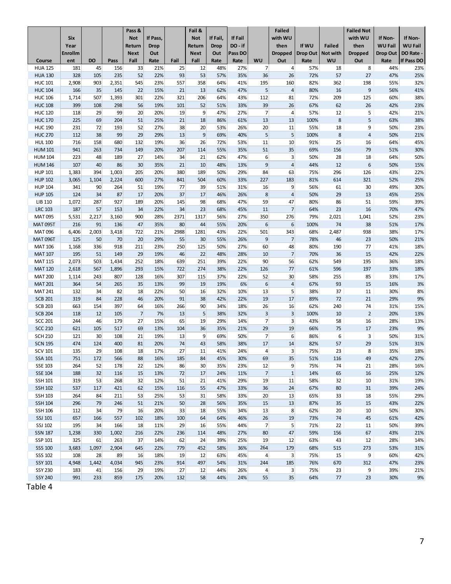|                                  | Six            |           |            | Pass &<br><b>Not</b> | If Pass,    |           | Fail &<br><b>Not</b> | If Fail,    | If Fail     |                                  | <b>Failed</b><br>with WU         |             |               | <b>Failed Not</b><br>with WU | If Non-        | If Non-           |
|----------------------------------|----------------|-----------|------------|----------------------|-------------|-----------|----------------------|-------------|-------------|----------------------------------|----------------------------------|-------------|---------------|------------------------------|----------------|-------------------|
|                                  | Year           |           |            | Return               | <b>Drop</b> |           | Return               | <b>Drop</b> | DO-if       |                                  | then                             | If WU       | <b>Failed</b> | then                         | <b>WU Fail</b> | <b>WU Fail</b>    |
|                                  | <b>Enrollm</b> |           |            | <b>Next</b>          | Out         |           | <b>Next</b>          | Out         | Pass DO     |                                  | <b>Dropped</b>                   | Drop Out    | Not with      | <b>Dropped</b>               | Drop Out       | DO Rate -         |
| Course<br><b>HUA 125</b>         | ent            | DO<br>45  | Pass       | Fall                 | Rate<br>21% | Fail      | Fall                 | Rate        | Rate<br>27% | WU<br>$\overline{7}$             | Out<br>$\overline{4}$            | Rate<br>57% | <b>WU</b>     | Out                          | Rate<br>44%    | If Pass DO<br>23% |
| <b>HUA 130</b>                   | 181<br>328     | 105       | 156<br>235 | 33<br>52             | 22%         | 25<br>93  | 12<br>53             | 48%<br>57%  | 35%         | 36                               | 26                               | 72%         | 18<br>57      | 8<br>27                      | 47%            | 25%               |
| <b>HUC 101</b>                   | 2,908          | 903       | 2,351      | 545                  | 23%         | 557       | 358                  | 64%         | 41%         | 195                              | 160                              | 82%         | 362           | 198                          | 55%            | 32%               |
| <b>HUC 104</b>                   | 166            | 35        | 145        | 22                   | 15%         | 21        | 13                   | 62%         | 47%         | 5 <sup>1</sup>                   | $\overline{4}$                   | 80%         | 16            | 9                            | 56%            | 41%               |
| <b>HUC 106</b>                   | 1,714          | 507       | 1,393      | 301                  | 22%         | 321       | 206                  | 64%         | 43%         | 112                              | 81                               | 72%         | 209           | 125                          | 60%            | 38%               |
| <b>HUC 108</b>                   | 399            | 108       | 298        | 56                   | 19%         | 101       | 52                   | 51%         | 33%         | 39                               | 26                               | 67%         | 62            | 26                           | 42%            | 23%               |
| <b>HUC 120</b>                   | 118            | 29        | 99         | 20                   | 20%         | 19        | 9                    | 47%         | 27%         | $\overline{7}$                   | $\overline{4}$                   | 57%         | 12            | 5                            | 42%            | 21%               |
| <b>HUC 170</b>                   | 225            | 69        | 204        | 51                   | 25%         | 21        | 18                   | 86%         | 61%         | 13                               | 13                               | 100%        | 8             | 5                            | 63%            | 38%               |
| <b>HUC 190</b>                   | 231            | 72        | 193        | 52                   | 27%         | 38        | 20                   | 53%         | 26%         | 20                               | 11                               | 55%         | 18            | 9                            | 50%            | 23%               |
| <b>HUC 270</b>                   | 112            | 38        | 99         | 29                   | 29%         | 13        | $\overline{9}$       | 69%         | 40%         | 5 <sup>1</sup>                   | $5\overline{5}$                  | 100%        | $\,$ 8 $\,$   | 4                            | 50%            | 21%               |
| <b>HUL 100</b>                   | 716            | 158       | 680        | 132                  | 19%         | 36        | 26                   | 72%         | 53%         | 11                               | 10                               | 91%         | 25            | 16                           | 64%            | 45%               |
| <b>HUM 101</b>                   | 941            | 263       | 734        | 149                  | 20%         | 207       | 114                  | 55%         | 35%         | 51                               | 35                               | 69%         | 156           | 79                           | 51%            | 30%               |
| <b>HUM 104</b>                   | 223<br>107     | 48<br>40  | 189<br>86  | 27<br>30             | 14%<br>35%  | 34<br>21  | 21<br>10             | 62%<br>48%  | 47%<br>13%  | 6<br>$\overline{9}$              | $\overline{3}$<br>$\overline{4}$ | 50%<br>44%  | 28<br>12      | 18<br>6                      | 64%<br>50%     | 50%<br>15%        |
| <b>HUM 146</b><br><b>HUP 101</b> | 1,383          | 394       | 1,003      | 205                  | 20%         | 380       | 189                  | 50%         | 29%         | 84                               | 63                               | 75%         | 296           | 126                          | 43%            | 22%               |
| <b>HUP 102</b>                   | 3,065          | 1,104     | 2,224      | 600                  | 27%         | 841       | 504                  | 60%         | 33%         | 227                              | 183                              | 81%         | 614           | 321                          | 52%            | 25%               |
| <b>HUP 104</b>                   | 341            | 90        | 264        | 51                   | 19%         | 77        | 39                   | 51%         | 31%         | 16                               | 9                                | 56%         | 61            | 30                           | 49%            | 30%               |
| <b>HUP 105</b>                   | 124            | 34        | 87         | 17                   | 20%         | 37        | 17                   | 46%         | 26%         | 8                                | $\overline{4}$                   | 50%         | 29            | 13                           | 45%            | 25%               |
| <b>LIB 110</b>                   | 1,072          | 287       | 927        | 189                  | 20%         | 145       | 98                   | 68%         | 47%         | 59                               | 47                               | 80%         | 86            | 51                           | 59%            | 39%               |
| <b>LRC 103</b>                   | 187            | 57        | 153        | 34                   | 22%         | 34        | 23                   | 68%         | 45%         | 11                               | $\overline{7}$                   | 64%         | 23            | 16                           | 70%            | 47%               |
| <b>MAT095</b>                    | 5,531          | 2,217     | 3,160      | 900                  | 28%         | 2371      | 1317                 | 56%         | 27%         | 350                              | 276                              | 79%         | 2,021         | 1,041                        | 52%            | 23%               |
| <b>MAT 095T</b>                  | 216            | 91        | 136        | 47                   | 35%         | 80        | 44                   | 55%         | 20%         | $6 \overline{6}$                 | $6\phantom{1}$                   | 100%        | 74            | 38                           | 51%            | 17%               |
| <b>MAT096</b>                    | 6,406          | 2,003     | 3,418      | 722                  | 21%         | 2988      | 1281                 | 43%         | 22%         | 501                              | 343                              | 68%         | 2,487         | 938                          | 38%            | 17%               |
| <b>MAT 096T</b>                  | 125            | 50        | 70         | 20                   | 29%         | 55        | 30                   | 55%         | 26%         | 9                                | $\overline{7}$                   | 78%         | 46            | 23                           | 50%            | 21%               |
| <b>MAT 106</b>                   | 1,168          | 336       | 918        | 211                  | 23%         | 250       | 125                  | 50%         | 27%         | 60                               | 48                               | 80%         | 190           | 77                           | 41%            | 18%               |
| <b>MAT 107</b>                   | 195            | 51        | 149        | 29                   | 19%         | 46        | 22                   | 48%         | 28%         | 10                               | $\overline{7}$                   | 70%         | 36            | 15                           | 42%            | 22%               |
| <b>MAT 115</b>                   | 2,073          | 503       | 1,434      | 252                  | 18%         | 639       | 251                  | 39%         | 22%         | 90                               | 56                               | 62%         | 549           | 195                          | 36%            | 18%               |
| <b>MAT 120</b>                   | 2,618          | 567       | 1,896      | 293                  | 15%         | 722       | 274                  | 38%         | 22%         | 126                              | 77                               | 61%         | 596           | 197                          | 33%            | 18%               |
| <b>MAT 200</b>                   | 1,114          | 243       | 807        | 128                  | 16%         | 307       | 115                  | 37%         | 22%         | 52                               | 30                               | 58%         | 255           | 85                           | 33%            | 17%               |
| <b>MAT 201</b>                   | 364            | 54        | 265        | 35                   | 13%         | 99        | 19                   | 19%         | 6%          | 6                                | $\overline{4}$                   | 67%         | 93            | 15                           | 16%            | 3%                |
| <b>MAT 241</b>                   | 132            | 34        | 82         | 18                   | 22%         | 50        | 16                   | 32%         | 10%         | 13                               | 5                                | 38%         | 37            | 11                           | 30%            | 8%                |
| <b>SCB 201</b>                   | 319            | 84        | 228        | 46                   | 20%         | 91        | 38                   | 42%         | 22%         | 19                               | 17                               | 89%         | 72            | 21                           | 29%            | 9%                |
| <b>SCB 203</b>                   | 663            | 154       | 397        | 64                   | 16%         | 266       | 90                   | 34%         | 18%         | 26                               | 16                               | 62%         | 240           | 74                           | 31%            | 15%               |
| <b>SCB 204</b>                   | 118<br>244     | 12<br>46  | 105<br>179 | $\overline{7}$<br>27 | 7%<br>15%   | 13<br>65  | 5<br>19              | 38%         | 32%         | $\overline{3}$<br>$\overline{7}$ | $\overline{3}$<br>3              | 100%        | 10            | $\overline{2}$               | 20%<br>28%     | 13%               |
| <b>SCC 201</b><br><b>SCC 210</b> | 621            | 105       | 517        | 69                   | 13%         | 104       | 36                   | 29%<br>35%  | 14%<br>21%  | 29                               | 19                               | 43%<br>66%  | 58<br>75      | 16<br>17                     | 23%            | 13%<br>9%         |
| <b>SCH 210</b>                   | 121            | 30        | 108        | 21                   | 19%         | 13        | 9                    | 69%         | 50%         | $\overline{7}$                   | $6 \overline{6}$                 | 86%         | 6             | 3                            | 50%            | 31%               |
| <b>SCN 195</b>                   | 474            | 124       | 400        | 81                   | 20%         | 74        | 43                   | 58%         | 38%         | 17                               | 14                               | 82%         | 57            | 29                           | 51%            | 31%               |
| <b>SCV 101</b>                   | 135            | 29        | 108        | 18                   | 17%         | 27        | 11                   | 41%         | 24%         | $\overline{4}$                   | 3                                | 75%         | 23            | 8                            | 35%            | 18%               |
| SSA 101                          | 751            | 172       | 566        | 88                   | 16%         | 185       | 84                   | 45%         | 30%         | 69                               | 35                               | 51%         | 116           | 49                           | 42%            | 27%               |
| <b>SSE 103</b>                   | 264            | 52        | 178        | 22                   | 12%         | 86        | 30                   | 35%         | 23%         | 12                               | $\overline{9}$                   | 75%         | 74            | 21                           | 28%            | 16%               |
| <b>SSE 104</b>                   | 188            | 32        | 116        | 15                   | 13%         | 72        | 17                   | 24%         | 11%         | $\overline{7}$                   | $\mathbf{1}$                     | 14%         | 65            | 16                           | 25%            | 12%               |
| <b>SSH 101</b>                   | 319            | 53        | 268        | 32                   | 12%         | 51        | 21                   | 41%         | 29%         | 19                               | 11                               | 58%         | 32            | 10                           | 31%            | 19%               |
| <b>SSH 102</b>                   | 537            | 117       | 421        | 62                   | 15%         | 116       | 55                   | 47%         | 33%         | 36                               | 24                               | 67%         | 80            | 31                           | 39%            | 24%               |
| <b>SSH 103</b>                   | 264            | 84        | 211        | 53                   | 25%         | 53        | 31                   | 58%         | 33%         | 20                               | 13                               | 65%         | 33            | 18                           | 55%            | 29%               |
| <b>SSH 104</b>                   | 296            | 79        | 246        | 51                   | 21%         | 50        | 28                   | 56%         | 35%         | 15                               | 13                               | 87%         | 35            | 15                           | 43%            | 22%               |
| <b>SSH 106</b>                   | 112            | 34        | 79         | 16                   | 20%         | 33        | 18                   | 55%         | 34%         | 13                               | 8                                | 62%         | 20            | 10                           | 50%            | 30%               |
| SSJ 101                          | 657            | 166       | 557        | 102                  | 18%         | 100       | 64                   | 64%         | 46%         | 26                               | 19                               | 73%         | 74            | 45                           | 61%            | 42%               |
| SSJ 102                          | 195            | 34        | 166        | 18                   | 11%         | 29        | 16                   | 55%         | 44%         | $\overline{7}$                   | 5                                | 71%         | 22            | 11                           | 50%            | 39%               |
| <b>SSN 187</b>                   | 1,238          | 330       | 1,002      | 216                  | 22%         | 236       | 114                  | 48%         | 27%         | 80                               | 47                               | 59%         | 156           | 67                           | 43%            | 21%               |
| SSP 101                          | 325            | 61        | 263        | 37                   | 14%         | 62        | 24                   | 39%         | 25%         | 19                               | 12                               | 63%         | 43            | 12                           | 28%            | 14%               |
| <b>SSS 100</b>                   | 3,683          | 1,097     | 2,904      | 645                  | 22%         | 779       | 452                  | 58%         | 36%         | 264                              | 179                              | 68%         | 515           | 273                          | 53%            | 31%               |
| SSS 102                          | 108            | 28        | 89         | 16                   | 18%         | 19        | 12                   | 63%         | 45%         | $\overline{4}$                   | $\overline{3}$                   | 75%         | 15            | 9                            | 60%            | 42%               |
| <b>SSY 101</b>                   | 4,948          | 1,442     | 4,034      | 945                  | 23%         | 914       | 497                  | 54%         | 31%         | 244                              | 185                              | 76%         | 670           | 312                          | 47%            | 23%               |
| <b>SSY 230</b>                   | 183<br>991     | 41<br>233 | 156<br>859 | 29<br>175            | 19%<br>20%  | 27<br>132 | 12<br>58             | 44%<br>44%  | 26%<br>24%  | $\overline{4}$<br>55             | $\overline{3}$<br>35             | 75%<br>64%  | 23<br>77      | 9<br>23                      | 39%<br>30%     | 21%<br>9%         |
| <b>SSY 240</b>                   |                |           |            |                      |             |           |                      |             |             |                                  |                                  |             |               |                              |                |                   |

Table 4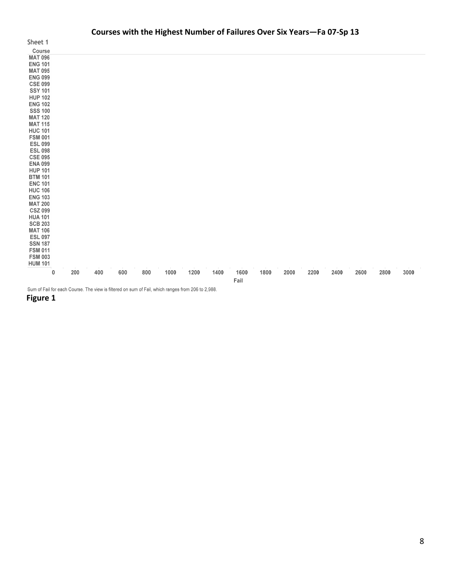### **Courses with the Highest Number of Failures Over Six Years—Fa 07‐Sp 13**

| Sheet 1                  |
|--------------------------|
| Course                   |
| <b>MAT 096</b>           |
| <b>ENG 101</b>           |
| MAT 095                  |
| <b>ENG 099</b>           |
| <b>CSE 099</b>           |
| <b>SSY 101</b>           |
| <b>HUP 102</b>           |
| <b>ENG 102</b>           |
| <b>SSS 100</b>           |
| <b>MAT 120</b>           |
| MAT 115                  |
| <b>HUC 101</b>           |
| <b>FSM 001</b>           |
| <b>ESL 099</b>           |
| <b>ESL 098</b>           |
| <b>CSE 095</b>           |
| <b>ENA 099</b>           |
| <b>HUP 101</b>           |
| BTM 101                  |
| <b>ENC 101</b>           |
| <b>HUC 106</b>           |
| ENG 103                  |
| <b>MAT 200</b>           |
| <b>CSZ 099</b>           |
| <b>HUA 101</b>           |
| <b>SCB 203</b>           |
| MAT 106                  |
| <b>ESL 097</b>           |
| <b>SSN 187</b>           |
| FSM 011                  |
| FSM 003                  |
| <b>HUM 101</b><br>ì<br>I |
|                          |

 $\overline{\mathbf{0}}$ Fail

Sum of Fail for each Course. The view is filtered on sum of Fail, which ranges from 206 to 2,988.

**Figure** 1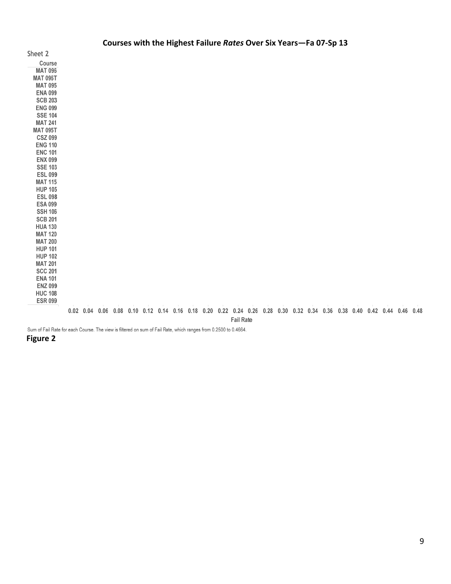|                 |  |  |  |                                                      |  |                                                                                            |                  | Courses with the Highest Failure Rates Over Six Years-Fa 07-Sp 13 |  |  |  |  |                                                                                                                         |  |
|-----------------|--|--|--|------------------------------------------------------|--|--------------------------------------------------------------------------------------------|------------------|-------------------------------------------------------------------|--|--|--|--|-------------------------------------------------------------------------------------------------------------------------|--|
| Sheet 2         |  |  |  |                                                      |  |                                                                                            |                  |                                                                   |  |  |  |  |                                                                                                                         |  |
| Course          |  |  |  |                                                      |  |                                                                                            |                  |                                                                   |  |  |  |  |                                                                                                                         |  |
| <b>MAT 096</b>  |  |  |  |                                                      |  |                                                                                            |                  |                                                                   |  |  |  |  |                                                                                                                         |  |
| <b>MAT 096T</b> |  |  |  |                                                      |  |                                                                                            |                  |                                                                   |  |  |  |  |                                                                                                                         |  |
| <b>MAT 095</b>  |  |  |  |                                                      |  |                                                                                            |                  |                                                                   |  |  |  |  |                                                                                                                         |  |
| <b>ENA 099</b>  |  |  |  |                                                      |  |                                                                                            |                  |                                                                   |  |  |  |  |                                                                                                                         |  |
| <b>SCB 203</b>  |  |  |  |                                                      |  |                                                                                            |                  |                                                                   |  |  |  |  |                                                                                                                         |  |
| <b>ENG 099</b>  |  |  |  |                                                      |  |                                                                                            |                  |                                                                   |  |  |  |  |                                                                                                                         |  |
| <b>SSE 104</b>  |  |  |  |                                                      |  |                                                                                            |                  |                                                                   |  |  |  |  |                                                                                                                         |  |
| <b>MAT 241</b>  |  |  |  |                                                      |  |                                                                                            |                  |                                                                   |  |  |  |  |                                                                                                                         |  |
| <b>MAT 095T</b> |  |  |  |                                                      |  |                                                                                            |                  |                                                                   |  |  |  |  |                                                                                                                         |  |
| <b>CSZ 099</b>  |  |  |  |                                                      |  |                                                                                            |                  |                                                                   |  |  |  |  |                                                                                                                         |  |
| <b>ENG 110</b>  |  |  |  |                                                      |  |                                                                                            |                  |                                                                   |  |  |  |  |                                                                                                                         |  |
| <b>ENC 101</b>  |  |  |  |                                                      |  |                                                                                            |                  |                                                                   |  |  |  |  |                                                                                                                         |  |
| <b>ENX 099</b>  |  |  |  |                                                      |  |                                                                                            |                  |                                                                   |  |  |  |  |                                                                                                                         |  |
| <b>SSE 103</b>  |  |  |  |                                                      |  |                                                                                            |                  |                                                                   |  |  |  |  |                                                                                                                         |  |
| <b>ESL 099</b>  |  |  |  |                                                      |  |                                                                                            |                  |                                                                   |  |  |  |  |                                                                                                                         |  |
| <b>MAT 115</b>  |  |  |  |                                                      |  |                                                                                            |                  |                                                                   |  |  |  |  |                                                                                                                         |  |
| <b>HUP 105</b>  |  |  |  |                                                      |  |                                                                                            |                  |                                                                   |  |  |  |  |                                                                                                                         |  |
| <b>ESL 098</b>  |  |  |  |                                                      |  |                                                                                            |                  |                                                                   |  |  |  |  |                                                                                                                         |  |
| <b>ESA 099</b>  |  |  |  |                                                      |  |                                                                                            |                  |                                                                   |  |  |  |  |                                                                                                                         |  |
| <b>SSH 106</b>  |  |  |  |                                                      |  |                                                                                            |                  |                                                                   |  |  |  |  |                                                                                                                         |  |
| <b>SCB 201</b>  |  |  |  |                                                      |  |                                                                                            |                  |                                                                   |  |  |  |  |                                                                                                                         |  |
| <b>HUA 130</b>  |  |  |  |                                                      |  |                                                                                            |                  |                                                                   |  |  |  |  |                                                                                                                         |  |
| <b>MAT 120</b>  |  |  |  |                                                      |  |                                                                                            |                  |                                                                   |  |  |  |  |                                                                                                                         |  |
| <b>MAT 200</b>  |  |  |  |                                                      |  |                                                                                            |                  |                                                                   |  |  |  |  |                                                                                                                         |  |
| <b>HUP 101</b>  |  |  |  |                                                      |  |                                                                                            |                  |                                                                   |  |  |  |  |                                                                                                                         |  |
| <b>HUP 102</b>  |  |  |  |                                                      |  |                                                                                            |                  |                                                                   |  |  |  |  |                                                                                                                         |  |
| <b>MAT 201</b>  |  |  |  |                                                      |  |                                                                                            |                  |                                                                   |  |  |  |  |                                                                                                                         |  |
| <b>SCC 201</b>  |  |  |  |                                                      |  |                                                                                            |                  |                                                                   |  |  |  |  |                                                                                                                         |  |
| <b>ENA 101</b>  |  |  |  |                                                      |  |                                                                                            |                  |                                                                   |  |  |  |  |                                                                                                                         |  |
| <b>ENZ 099</b>  |  |  |  |                                                      |  |                                                                                            |                  |                                                                   |  |  |  |  |                                                                                                                         |  |
| <b>HUC 108</b>  |  |  |  |                                                      |  |                                                                                            |                  |                                                                   |  |  |  |  |                                                                                                                         |  |
| <b>ESR 099</b>  |  |  |  |                                                      |  |                                                                                            |                  |                                                                   |  |  |  |  |                                                                                                                         |  |
|                 |  |  |  |                                                      |  |                                                                                            |                  |                                                                   |  |  |  |  | 0.02 0.04 0.06 0.08 0.10 0.12 0.14 0.16 0.18 0.20 0.22 0.24 0.26 0.28 0.30 0.32 0.34 0.36 0.38 0.40 0.42 0.44 0.46 0.48 |  |
|                 |  |  |  |                                                      |  |                                                                                            | <b>Fail Rate</b> |                                                                   |  |  |  |  |                                                                                                                         |  |
|                 |  |  |  | - 実用 アンプランス ちょうせん アンテル アンティーション 同一 アール・エンジン しょうせいしょう |  | $\ldots$ $\ldots$ $\land$ $\land$ $\land$ $\land$ $\ldots$ $\land$ $\land$ $\land$ $\land$ |                  |                                                                   |  |  |  |  |                                                                                                                         |  |

Sum of Fail Rate for each Course. The view is filtered on sum of Fail Rate, which ranges from 0.2500 to 0.4664.

#### **Figure 2**

9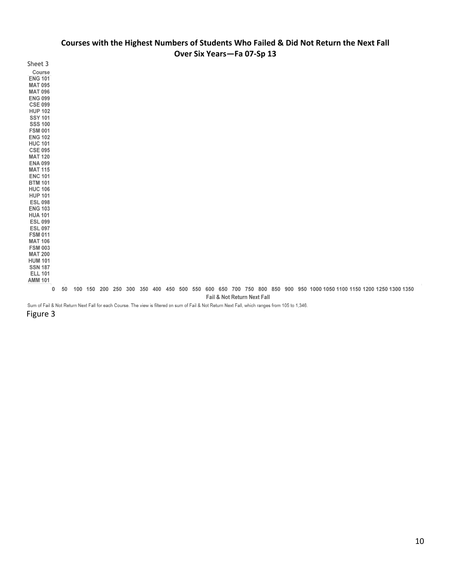### Courses with the Highest Numbers of Students Who Failed & Did Not Return the Next Fall **Over Six Years—Fa 07‐Sp 13**

| Sheet 3                                                                                                                                                                                                                                                                                                                                                                                                                                                |    |                 |  |  |                 |         |     |                             |  |  |  |                                                                     |  |  |  |
|--------------------------------------------------------------------------------------------------------------------------------------------------------------------------------------------------------------------------------------------------------------------------------------------------------------------------------------------------------------------------------------------------------------------------------------------------------|----|-----------------|--|--|-----------------|---------|-----|-----------------------------|--|--|--|---------------------------------------------------------------------|--|--|--|
| Course<br><b>ENG 101</b><br><b>MAT 095</b><br><b>MAT 096</b><br><b>ENG 099</b><br><b>CSE 099</b><br><b>HUP 102</b><br><b>SSY 101</b><br><b>SSS 100</b><br><b>FSM 001</b><br><b>ENG 102</b><br><b>HUC 101</b><br><b>CSE 095</b><br><b>MAT 120</b><br><b>ENA 099</b><br><b>MAT 115</b><br><b>ENC 101</b><br><b>BTM 101</b><br><b>HUC 106</b><br><b>HUP 101</b><br><b>ESL 098</b><br><b>ENG 103</b><br><b>HUA 101</b><br><b>ESL 099</b><br><b>ESL 097</b> |    |                 |  |  |                 |         |     |                             |  |  |  |                                                                     |  |  |  |
| <b>FSM 011</b>                                                                                                                                                                                                                                                                                                                                                                                                                                         |    |                 |  |  |                 |         |     |                             |  |  |  |                                                                     |  |  |  |
| <b>MAT 106</b><br><b>FSM 003</b>                                                                                                                                                                                                                                                                                                                                                                                                                       |    |                 |  |  |                 |         |     |                             |  |  |  |                                                                     |  |  |  |
| <b>MAT 200</b>                                                                                                                                                                                                                                                                                                                                                                                                                                         |    |                 |  |  |                 |         |     |                             |  |  |  |                                                                     |  |  |  |
| <b>HUM 101</b><br><b>SSN 187</b>                                                                                                                                                                                                                                                                                                                                                                                                                       |    |                 |  |  |                 |         |     |                             |  |  |  |                                                                     |  |  |  |
| <b>ELL 101</b>                                                                                                                                                                                                                                                                                                                                                                                                                                         |    |                 |  |  |                 |         |     |                             |  |  |  |                                                                     |  |  |  |
| <b>AMM 101</b>                                                                                                                                                                                                                                                                                                                                                                                                                                         |    |                 |  |  |                 |         |     |                             |  |  |  |                                                                     |  |  |  |
| 0                                                                                                                                                                                                                                                                                                                                                                                                                                                      | 50 | 100 150 200 250 |  |  | 300 350 400 450 | 500 550 | 600 |                             |  |  |  | 650 700 750 800 850 900 950 1000 1050 1100 1150 1200 1250 1300 1350 |  |  |  |
|                                                                                                                                                                                                                                                                                                                                                                                                                                                        |    |                 |  |  |                 |         |     | Fail & Not Return Next Fall |  |  |  |                                                                     |  |  |  |

Sum of Fail & Not Return Next Fall for each Course. The view is filtered on sum of Fail & Not Return Next Fall, which ranges from 105 to 1,346.

Figure 3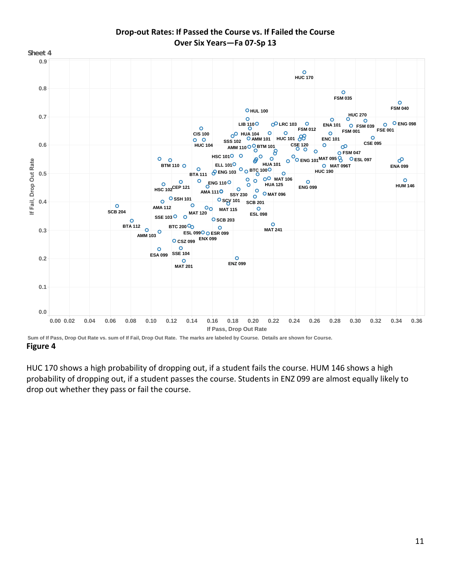

# **Drop‐out Rates: If Passed the Course vs. If Failed the Course Over Six Years—Fa 07‐Sp 13**

 **Figure 4 Sum of If Pass, Drop Out Rate vs. sum of If Fail, Drop Out Rate. The marks are labeled by Course. Details are shown for Course.** 

 HUC 170 shows a high probability of dropping out, if a student fails the course. HUM 146 shows a high probability of dropping out, if a student passes the course. Students in ENZ 099 are almost equally likely to drop out whether they pass or fail the course.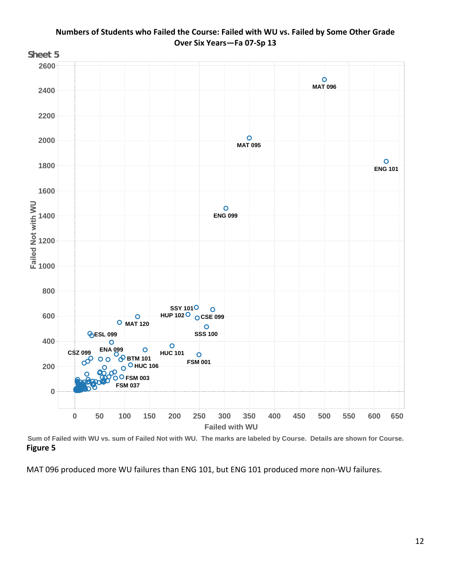

Numbers of Students who Failed the Course: Failed with WU vs. Failed by Some Other Grade  **Over Six Years—Fa 07‐Sp 13**

 **Figure 5 Sum of Failed with WU vs. sum of Failed Not with WU. The marks are labeled by Course. Details are shown for Course.** 

MAT 096 produced more WU failures than ENG 101, but ENG 101 produced more non‐WU failures.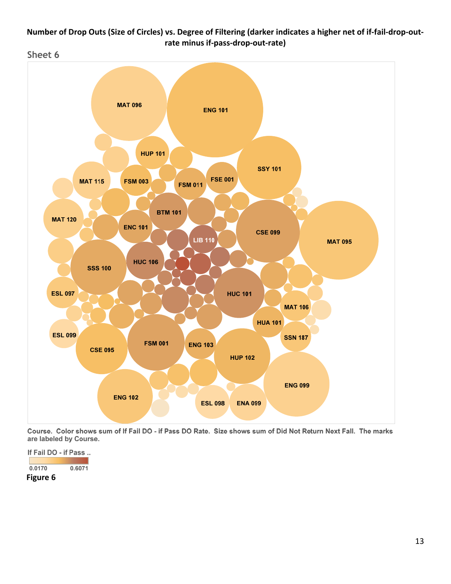# Number of Drop Outs (Size of Circles) vs. Degree of Filtering (darker indicates a higher net of if-fail-drop-out- **rate minus if‐pass‐drop‐out‐rate)**



Course. Color shows sum of If Fail DO - if Pass DO Rate. Size shows sum of Did Not Return Next Fall. The marks are labeled by Course.

If Fail DO - if Pass ..

 $0.0170$  $0.6071$ 

 **Figure 6**